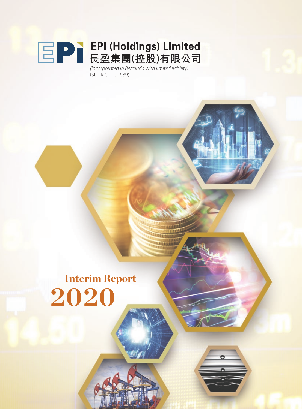

(Stock Code : 689)

# **Interim Report 2020**

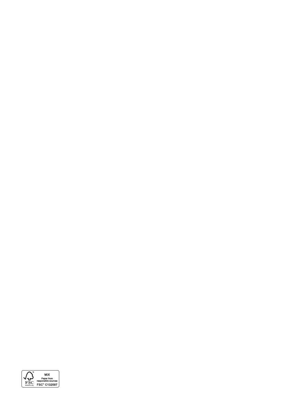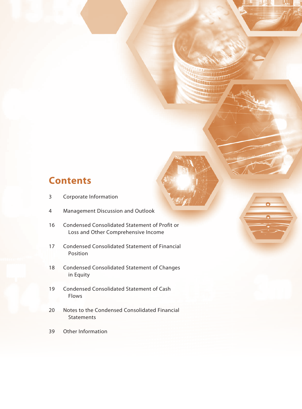### **Contents**

- 3 Corporate Information
- 4 Management Discussion and Outlook
- 16 Condensed Consolidated Statement of Profit or Loss and Other Comprehensive Income
- 17 Condensed Consolidated Statement of Financial Position
- 18 Condensed Consolidated Statement of Changes in Equity
- 19 Condensed Consolidated Statement of Cash Flows
- 20 Notes to the Condensed Consolidated Financial **Statements**
- 39 Other Information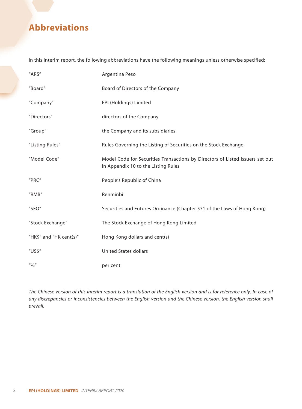### **Abbreviations**

In this interim report, the following abbreviations have the following meanings unless otherwise specified:

| "ARS"                                                                  | Argentina Peso                                                                                                       |
|------------------------------------------------------------------------|----------------------------------------------------------------------------------------------------------------------|
| "Board"                                                                | Board of Directors of the Company                                                                                    |
| "Company"                                                              | EPI (Holdings) Limited                                                                                               |
| "Directors"                                                            | directors of the Company                                                                                             |
| "Group"                                                                | the Company and its subsidiaries                                                                                     |
| "Listing Rules"                                                        | Rules Governing the Listing of Securities on the Stock Exchange                                                      |
| "Model Code"                                                           | Model Code for Securities Transactions by Directors of Listed Issuers set out<br>in Appendix 10 to the Listing Rules |
| "PRC"                                                                  | People's Republic of China                                                                                           |
| "RMB"                                                                  | Renminbi                                                                                                             |
| "SFO"                                                                  | Securities and Futures Ordinance (Chapter 571 of the Laws of Hong Kong)                                              |
| "Stock Exchange"                                                       | The Stock Exchange of Hong Kong Limited                                                                              |
| "HK\$" and "HK cent(s)"                                                | Hong Kong dollars and cent(s)                                                                                        |
| "US\$"                                                                 | <b>United States dollars</b>                                                                                         |
| $^{\prime\prime}$ <sup>0</sup> /0 <sup><math>\prime\prime</math></sup> | per cent.                                                                                                            |

*The Chinese version of this interim report is a translation of the English version and is for reference only. In case of any discrepancies or inconsistencies between the English version and the Chinese version, the English version shall prevail.*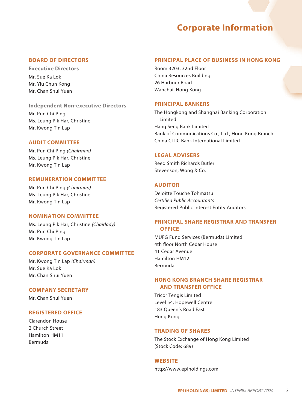### **Corporate Information**

#### **BOARD OF DIRECTORS**

**Executive Directors** Mr. Sue Ka Lok Mr. Yiu Chun Kong Mr. Chan Shui Yuen

#### **Independent Non-executive Directors**

Mr. Pun Chi Ping Ms. Leung Pik Har, Christine Mr. Kwong Tin Lap

#### **AUDIT COMMITTEE**

Mr. Pun Chi Ping *(Chairman)* Ms. Leung Pik Har, Christine Mr. Kwong Tin Lap

#### **REMUNERATION COMMITTEE**

Mr. Pun Chi Ping *(Chairman)* Ms. Leung Pik Har, Christine Mr. Kwong Tin Lap

#### **NOMINATION COMMITTEE**

Ms. Leung Pik Har, Christine *(Chairlady)* Mr. Pun Chi Ping Mr. Kwong Tin Lap

#### **CORPORATE GOVERNANCE COMMITTEE**

Mr. Kwong Tin Lap *(Chairman)* Mr. Sue Ka Lok Mr. Chan Shui Yuen

#### **COMPANY SECRETARY**

Mr. Chan Shui Yuen

#### **REGISTERED OFFICE**

Clarendon House 2 Church Street Hamilton HM11 Bermuda

#### **PRINCIPAL PLACE OF BUSINESS IN HONG KONG**

Room 3203, 32nd Floor China Resources Building 26 Harbour Road Wanchai, Hong Kong

#### **PRINCIPAL BANKERS**

The Hongkong and Shanghai Banking Corporation Limited Hang Seng Bank Limited Bank of Communications Co., Ltd., Hong Kong Branch China CITIC Bank International Limited

#### **LEGAL ADVISERS**

Reed Smith Richards Butler Stevenson, Wong & Co.

#### **AUDITOR**

Deloitte Touche Tohmatsu *Certified Public Accountants* Registered Public Interest Entity Auditors

#### **PRINCIPAL SHARE REGISTRAR AND TRANSFER OFFICE**

MUFG Fund Services (Bermuda) Limited 4th floor North Cedar House 41 Cedar Avenue Hamilton HM12 Bermuda

#### **HONG KONG BRANCH SHARE REGISTRAR AND TRANSFER OFFICE**

Tricor Tengis Limited Level 54, Hopewell Centre 183 Queen's Road East Hong Kong

#### **TRADING OF SHARES**

The Stock Exchange of Hong Kong Limited (Stock Code: 689)

#### **WEBSITE**

http://www.epiholdings.com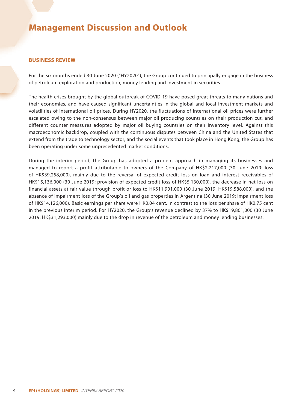#### **BUSINESS REVIEW**

For the six months ended 30 June 2020 ("HY2020"), the Group continued to principally engage in the business of petroleum exploration and production, money lending and investment in securities.

The health crises brought by the global outbreak of COVID-19 have posed great threats to many nations and their economies, and have caused significant uncertainties in the global and local investment markets and volatilities of international oil prices. During HY2020, the fluctuations of international oil prices were further escalated owing to the non-consensus between major oil producing countries on their production cut, and different counter measures adopted by major oil buying countries on their inventory level. Against this macroeconomic backdrop, coupled with the continuous disputes between China and the United States that extend from the trade to technology sector, and the social events that took place in Hong Kong, the Group has been operating under some unprecedented market conditions.

During the interim period, the Group has adopted a prudent approach in managing its businesses and managed to report a profit attributable to owners of the Company of HK\$2,217,000 (30 June 2019: loss of HK\$39,258,000), mainly due to the reversal of expected credit loss on loan and interest receivables of HK\$15,136,000 (30 June 2019: provision of expected credit loss of HK\$5,130,000), the decrease in net loss on financial assets at fair value through profit or loss to HK\$11,901,000 (30 June 2019: HK\$19,588,000), and the absence of impairment loss of the Group's oil and gas properties in Argentina (30 June 2019: impairment loss of HK\$14,126,000). Basic earnings per share were HK0.04 cent, in contrast to the loss per share of HK0.75 cent in the previous interim period. For HY2020, the Group's revenue declined by 37% to HK\$19,861,000 (30 June 2019: HK\$31,293,000) mainly due to the drop in revenue of the petroleum and money lending businesses.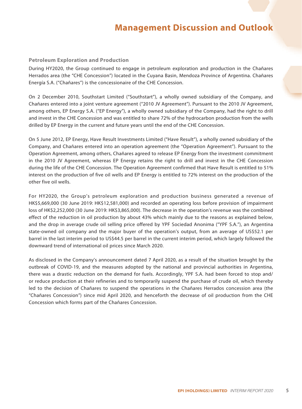#### **Petroleum Exploration and Production**

During HY2020, the Group continued to engage in petroleum exploration and production in the Chañares Herrados area (the "CHE Concession") located in the Cuyana Basin, Mendoza Province of Argentina. Chañares Energía S.A. ("Chañares") is the concessionaire of the CHE Concession.

On 2 December 2010, Southstart Limited ("Southstart"), a wholly owned subsidiary of the Company, and Chañares entered into a joint venture agreement ("2010 JV Agreement"). Pursuant to the 2010 JV Agreement, among others, EP Energy S.A. ("EP Energy"), a wholly owned subsidiary of the Company, had the right to drill and invest in the CHE Concession and was entitled to share 72% of the hydrocarbon production from the wells drilled by EP Energy in the current and future years until the end of the CHE Concession.

On 5 June 2012, EP Energy, Have Result Investments Limited ("Have Result"), a wholly owned subsidiary of the Company, and Chañares entered into an operation agreement (the "Operation Agreement"). Pursuant to the Operation Agreement, among others, Chañares agreed to release EP Energy from the investment commitment in the 2010 JV Agreement, whereas EP Energy retains the right to drill and invest in the CHE Concession during the life of the CHE Concession. The Operation Agreement confirmed that Have Result is entitled to 51% interest on the production of five oil wells and EP Energy is entitled to 72% interest on the production of the other five oil wells.

For HY2020, the Group's petroleum exploration and production business generated a revenue of HK\$5,669,000 (30 June 2019: HK\$12,581,000) and recorded an operating loss before provision of impairment loss of HK\$2,252,000 (30 June 2019: HK\$3,865,000). The decrease in the operation's revenue was the combined effect of the reduction in oil production by about 43% which mainly due to the reasons as explained below, and the drop in average crude oil selling price offered by YPF Sociedad Anonima ("YPF S.A."), an Argentina state-owned oil company and the major buyer of the operation's output, from an average of US\$52.1 per barrel in the last interim period to US\$44.5 per barrel in the current interim period, which largely followed the downward trend of international oil prices since March 2020.

As disclosed in the Company's announcement dated 7 April 2020, as a result of the situation brought by the outbreak of COVID-19, and the measures adopted by the national and provincial authorities in Argentina, there was a drastic reduction on the demand for fuels. Accordingly, YPF S.A. had been forced to stop and/ or reduce production at their refineries and to temporarily suspend the purchase of crude oil, which thereby led to the decision of Chañares to suspend the operations in the Chañares Herrados concession area (the "Chañares Concession") since mid April 2020, and henceforth the decrease of oil production from the CHE Concession which forms part of the Chañares Concession.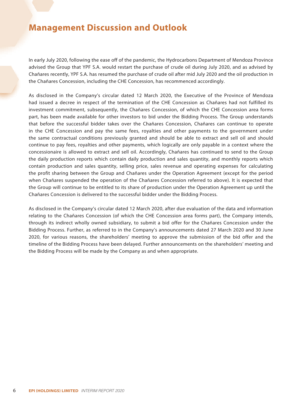In early July 2020, following the ease off of the pandemic, the Hydrocarbons Department of Mendoza Province advised the Group that YPF S.A. would restart the purchase of crude oil during July 2020, and as advised by Chañares recently, YPF S.A. has resumed the purchase of crude oil after mid July 2020 and the oil production in the Chañares Concession, including the CHE Concession, has recommenced accordingly.

As disclosed in the Company's circular dated 12 March 2020, the Executive of the Province of Mendoza had issued a decree in respect of the termination of the CHE Concession as Chañares had not fulfilled its investment commitment, subsequently, the Chañares Concession, of which the CHE Concession area forms part, has been made available for other investors to bid under the Bidding Process. The Group understands that before the successful bidder takes over the Chañares Concession, Chañares can continue to operate in the CHE Concession and pay the same fees, royalties and other payments to the government under the same contractual conditions previously granted and should be able to extract and sell oil and should continue to pay fees, royalties and other payments, which logically are only payable in a context where the concessionaire is allowed to extract and sell oil. Accordingly, Chañares has continued to send to the Group the daily production reports which contain daily production and sales quantity, and monthly reports which contain production and sales quantity, selling price, sales revenue and operating expenses for calculating the profit sharing between the Group and Chañares under the Operation Agreement (except for the period when Chañares suspended the operation of the Chañares Concession referred to above). It is expected that the Group will continue to be entitled to its share of production under the Operation Agreement up until the Chañares Concession is delivered to the successful bidder under the Bidding Process.

As disclosed in the Company's circular dated 12 March 2020, after due evaluation of the data and information relating to the Chañares Concession (of which the CHE Concession area forms part), the Company intends, through its indirect wholly owned subsidiary, to submit a bid offer for the Chañares Concession under the Bidding Process. Further, as referred to in the Company's announcements dated 27 March 2020 and 30 June 2020, for various reasons, the shareholders' meeting to approve the submission of the bid offer and the timeline of the Bidding Process have been delayed. Further announcements on the shareholders' meeting and the Bidding Process will be made by the Company as and when appropriate.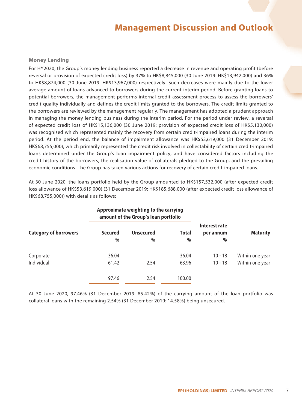#### **Money Lending**

For HY2020, the Group's money lending business reported a decrease in revenue and operating profit (before reversal or provision of expected credit loss) by 37% to HK\$8,845,000 (30 June 2019: HK\$13,942,000) and 36% to HK\$8,874,000 (30 June 2019: HK\$13,967,000) respectively. Such decreases were mainly due to the lower average amount of loans advanced to borrowers during the current interim period. Before granting loans to potential borrowers, the management performs internal credit assessment process to assess the borrowers' credit quality individually and defines the credit limits granted to the borrowers. The credit limits granted to the borrowers are reviewed by the management regularly. The management has adopted a prudent approach in managing the money lending business during the interim period. For the period under review, a reversal of expected credit loss of HK\$15,136,000 (30 June 2019: provision of expected credit loss of HK\$5,130,000) was recognised which represented mainly the recovery from certain credit-impaired loans during the interim period. At the period end, the balance of impairment allowance was HK\$53,619,000 (31 December 2019: HK\$68,755,000), which primarily represented the credit risk involved in collectability of certain credit-impaired loans determined under the Group's loan impairment policy, and have considered factors including the credit history of the borrowers, the realisation value of collaterals pledged to the Group, and the prevailing economic conditions. The Group has taken various actions for recovery of certain credit-impaired loans.

At 30 June 2020, the loans portfolio held by the Group amounted to HK\$157,532,000 (after expected credit loss allowance of HK\$53,619,000) (31 December 2019: HK\$185,688,000 (after expected credit loss allowance of HK\$68,755,000)) with details as follows:

|                              |                     | Approximate weighting to the carrying<br>amount of the Group's loan portfolio |            |                                 |                 |
|------------------------------|---------------------|-------------------------------------------------------------------------------|------------|---------------------------------|-----------------|
| <b>Category of borrowers</b> | <b>Secured</b><br>% | <b>Unsecured</b><br>%                                                         | Total<br>% | Interest rate<br>per annum<br>% | <b>Maturity</b> |
|                              |                     |                                                                               |            |                                 |                 |
| Corporate                    | 36.04               |                                                                               | 36.04      | $10 - 18$                       | Within one year |
| Individual                   | 61.42               | 2.54                                                                          | 63.96      | $10 - 18$                       | Within one year |
|                              | 97.46               | 2.54                                                                          | 100.00     |                                 |                 |

# **Approximate weighting to the carrying**

At 30 June 2020, 97.46% (31 December 2019: 85.42%) of the carrying amount of the loan portfolio was collateral loans with the remaining 2.54% (31 December 2019: 14.58%) being unsecured.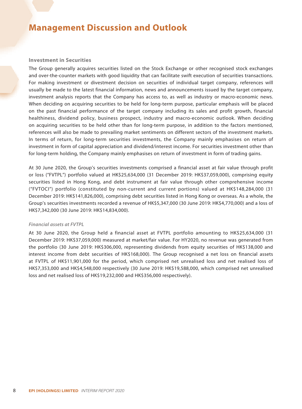#### **Investment in Securities**

The Group generally acquires securities listed on the Stock Exchange or other recognised stock exchanges and over-the-counter markets with good liquidity that can facilitate swift execution of securities transactions. For making investment or divestment decision on securities of individual target company, references will usually be made to the latest financial information, news and announcements issued by the target company, investment analysis reports that the Company has access to, as well as industry or macro-economic news. When deciding on acquiring securities to be held for long-term purpose, particular emphasis will be placed on the past financial performance of the target company including its sales and profit growth, financial healthiness, dividend policy, business prospect, industry and macro-economic outlook. When deciding on acquiring securities to be held other than for long-term purpose, in addition to the factors mentioned, references will also be made to prevailing market sentiments on different sectors of the investment markets. In terms of return, for long-term securities investments, the Company mainly emphasises on return of investment in form of capital appreciation and dividend/interest income. For securities investment other than for long-term holding, the Company mainly emphasises on return of investment in form of trading gains.

At 30 June 2020, the Group's securities investments comprised a financial asset at fair value through profit or loss ("FVTPL") portfolio valued at HK\$25,634,000 (31 December 2019: HK\$37,059,000), comprising equity securities listed in Hong Kong, and debt instrument at fair value through other comprehensive income ("FVTOCI") portfolio (constituted by non-current and current portions) valued at HK\$148,284,000 (31 December 2019: HK\$141,826,000), comprising debt securities listed in Hong Kong or overseas. As a whole, the Group's securities investments recorded a revenue of HK\$5,347,000 (30 June 2019: HK\$4,770,000) and a loss of HK\$7,342,000 (30 June 2019: HK\$14,834,000).

#### *Financial assets at FVTPL*

At 30 June 2020, the Group held a financial asset at FVTPL portfolio amounting to HK\$25,634,000 (31 December 2019: HK\$37,059,000) measured at market/fair value. For HY2020, no revenue was generated from the portfolio (30 June 2019: HK\$306,000, representing dividends from equity securities of HK\$138,000 and interest income from debt securities of HK\$168,000). The Group recognised a net loss on financial assets at FVTPL of HK\$11,901,000 for the period, which comprised net unrealised loss and net realised loss of HK\$7,353,000 and HK\$4,548,000 respectively (30 June 2019: HK\$19,588,000, which comprised net unrealised loss and net realised loss of HK\$19,232,000 and HK\$356,000 respectively).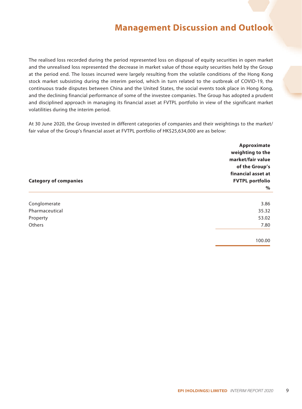The realised loss recorded during the period represented loss on disposal of equity securities in open market and the unrealised loss represented the decrease in market value of those equity securities held by the Group at the period end. The losses incurred were largely resulting from the volatile conditions of the Hong Kong stock market subsisting during the interim period, which in turn related to the outbreak of COVID-19, the continuous trade disputes between China and the United States, the social events took place in Hong Kong, and the declining financial performance of some of the investee companies. The Group has adopted a prudent and disciplined approach in managing its financial asset at FVTPL portfolio in view of the significant market volatilities during the interim period.

At 30 June 2020, the Group invested in different categories of companies and their weightings to the market/ fair value of the Group's financial asset at FVTPL portfolio of HK\$25,634,000 are as below:

|                              | Approximate<br>weighting to the |  |  |  |  |
|------------------------------|---------------------------------|--|--|--|--|
|                              | market/fair value               |  |  |  |  |
|                              | of the Group's                  |  |  |  |  |
|                              | financial asset at              |  |  |  |  |
| <b>Category of companies</b> | <b>FVTPL portfolio</b>          |  |  |  |  |
|                              | $\%$                            |  |  |  |  |
| Conglomerate                 | 3.86                            |  |  |  |  |
| Pharmaceutical               | 35.32                           |  |  |  |  |
| Property                     | 53.02                           |  |  |  |  |
| Others                       | 7.80                            |  |  |  |  |
|                              | 100.00                          |  |  |  |  |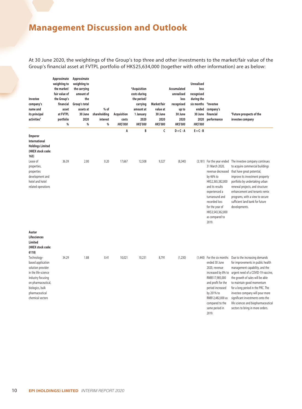At 30 June 2020, the weightings of the Group's top three and other investments to the market/fair value of the Group's financial asset at FVTPL portfolio of HK\$25,634,000 (together with other information) are as below:

| Investee<br>company's<br>name and<br>its principal<br>activities <sup>#</sup>                                                                                                                                                                       | Approximate<br>weighting to<br>the market/<br>fair value of<br>the Group's<br>financial<br>asset<br>at FVTPL<br>portfolio<br>$\%$ | Approximate<br>weighting to<br>the carrying<br>amount of<br>the<br>Group's total<br>assets at<br>30 June<br>2020<br>% | $%$ of<br>shareholding<br>interest<br>% | <b>Acquisition</b><br>costs<br><b>HK\$'000</b> | *Acquisition<br>costs during<br>the period/<br>carrying<br>amount at<br>1 January<br>2020<br><b>HK\$'000</b> | Market/fair<br>value at<br>30 June<br>2020<br><b>HK\$'000</b> | Accumulated<br>unrealised<br>loss<br>recognised<br>up to<br>30 June<br>2020<br><b>HK\$'000</b> | <b>Unrealised</b><br>loss<br>recognised<br>during the<br>six months<br>ended<br>30 June<br>2020<br><b>HK\$'000</b> | *Investee<br>company's<br>financial<br>performance                                                                                                                                                                                            | <sup>#</sup> Future prospects of the<br>investee company                                                                                                                                                                                                                                                                                                                                           |
|-----------------------------------------------------------------------------------------------------------------------------------------------------------------------------------------------------------------------------------------------------|-----------------------------------------------------------------------------------------------------------------------------------|-----------------------------------------------------------------------------------------------------------------------|-----------------------------------------|------------------------------------------------|--------------------------------------------------------------------------------------------------------------|---------------------------------------------------------------|------------------------------------------------------------------------------------------------|--------------------------------------------------------------------------------------------------------------------|-----------------------------------------------------------------------------------------------------------------------------------------------------------------------------------------------------------------------------------------------|----------------------------------------------------------------------------------------------------------------------------------------------------------------------------------------------------------------------------------------------------------------------------------------------------------------------------------------------------------------------------------------------------|
| <b>Emperor</b><br>International<br><b>Holdings Limited</b><br>(HKEX stock code:<br>163)                                                                                                                                                             |                                                                                                                                   |                                                                                                                       |                                         | A                                              | B                                                                                                            | C                                                             | $D = C - A$                                                                                    | $E = C - B$                                                                                                        |                                                                                                                                                                                                                                               |                                                                                                                                                                                                                                                                                                                                                                                                    |
| Lease of<br>properties,<br>properties<br>development and<br>hotel and hotel<br>related operations                                                                                                                                                   | 36.39                                                                                                                             | 2.00                                                                                                                  | 0.20                                    | 17,667                                         | 12,508                                                                                                       | 9,327                                                         | (8, 340)                                                                                       |                                                                                                                    | (3,181) For the year ended<br>31 March 2020,<br>revenue decreased<br>by 46% to<br>HK\$2,365,382,000<br>and its results<br>experienced a<br>turnaround and<br>recorded loss<br>for the year of<br>HK\$3,543,362,000<br>as compared to<br>2019. | The investee company continues<br>to acquire commercial buildings<br>that have great potential,<br>improve its investment property<br>portfolio by undertaking urban<br>renewal projects, and structure<br>enhancement and tenants remix<br>programs, with a view to secure<br>sufficient land bank for future<br>developments.                                                                    |
| Austar<br>Lifesciences<br>Limited<br>(HKEX stock code:<br>6118)<br>Technology-<br>based application<br>solution provider<br>in the life-science<br>industry focusing<br>on pharmaceutical,<br>biologics, bulk<br>pharmaceutical<br>chemical sectors | 34.29                                                                                                                             | 1.88                                                                                                                  | 0.41                                    | 10,021                                         | 10,231                                                                                                       | 8,791                                                         | (1, 230)                                                                                       | (1,440)                                                                                                            | For the six months<br>ended 30 June<br>2020, revenue<br>increased by 8% to<br>RMB517,985,000<br>and profit for the<br>period increased<br>by 201% to<br>RMB12,482,000 as<br>compared to the<br>same period in                                 | Due to the increasing demands<br>for improvements in public health<br>management capability, and the<br>urgent need of a COVID-19 vaccine,<br>the growth of sales will be able<br>to maintain good momentum<br>for a long period in the PRC. The<br>investee company will pour more<br>significant investments onto the<br>life sciences and biopharmaceutical<br>sectors to bring in more orders. |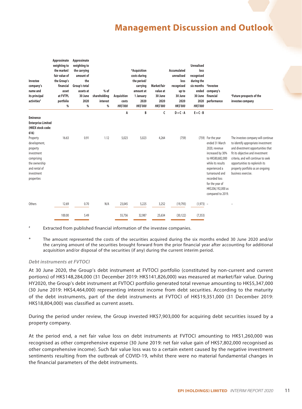| Investee<br>company's<br>name and<br>its principal<br>activities <sup>#</sup>                                                                               | Approximate<br>weighting to<br>the market/<br>fair value of<br>the Group's<br>financial<br>asset<br>at FVTPL<br>portfolio<br>% | Approximate<br>weighting to<br>the carrying<br>amount of<br>the<br>Group's total<br>assets at<br>30 June<br>2020<br>% | $%$ of<br>shareholding<br>interest<br>% | <b>Acquisition</b><br>costs<br><b>HK\$'000</b> | *Acquisition<br>costs during<br>the period/<br>carrying<br>amount at<br>1 January<br>2020<br><b>HK\$'000</b> | Market/fair<br>value at<br>30 June<br>2020<br><b>HK\$'000</b> | Accumulated<br>unrealised<br>loss<br>recognised<br>up to<br>30 June<br>2020<br><b>HK\$'000</b> | <b>Unrealised</b><br>loss<br>recognised<br>during the<br>six months<br>ended<br>30 June<br>2020<br><b>HK\$'000</b> | <i>*</i> Investee<br>company's<br>financial<br>performance                                                                                                                                                                      | <sup>*</sup> Future prospects of the<br>investee company                                                                                                                                                                                                                             |
|-------------------------------------------------------------------------------------------------------------------------------------------------------------|--------------------------------------------------------------------------------------------------------------------------------|-----------------------------------------------------------------------------------------------------------------------|-----------------------------------------|------------------------------------------------|--------------------------------------------------------------------------------------------------------------|---------------------------------------------------------------|------------------------------------------------------------------------------------------------|--------------------------------------------------------------------------------------------------------------------|---------------------------------------------------------------------------------------------------------------------------------------------------------------------------------------------------------------------------------|--------------------------------------------------------------------------------------------------------------------------------------------------------------------------------------------------------------------------------------------------------------------------------------|
| <b>Eminence</b><br><b>Enterprise Limited</b>                                                                                                                |                                                                                                                                |                                                                                                                       |                                         | A                                              | B                                                                                                            | C                                                             | $D = C - A$                                                                                    | $E = C - B$                                                                                                        |                                                                                                                                                                                                                                 |                                                                                                                                                                                                                                                                                      |
| (HKEX stock code:<br>616)<br>Property<br>development,<br>property<br>investment<br>comprising<br>the ownership<br>and rental of<br>investment<br>properties | 16.63                                                                                                                          | 0.91                                                                                                                  | 1.12                                    | 5,023                                          | 5,023                                                                                                        | 4,264                                                         | (759)                                                                                          | (759)                                                                                                              | For the year<br>ended 31 March<br>2020, revenue<br>increased by 30%<br>to HK\$80,682,000<br>while its results<br>experienced a<br>turnaround and<br>recorded loss<br>for the year of<br>HK\$206,192,000 as<br>compared to 2019. | The investee company will continue<br>to identify appropriate investment<br>and divestment opportunities that<br>fit its objective and investment<br>criteria, and will continue to seek<br>opportunities to replenish its<br>property portfolio as an ongoing<br>business exercise. |
| Others                                                                                                                                                      | 12.69                                                                                                                          | 0.70                                                                                                                  | N/A                                     | 23,045                                         | 5,225                                                                                                        | 3,252                                                         | (19, 793)                                                                                      | $(1,973) -$                                                                                                        |                                                                                                                                                                                                                                 |                                                                                                                                                                                                                                                                                      |
|                                                                                                                                                             | 100.00                                                                                                                         | 5.49                                                                                                                  |                                         | 55,756                                         | 32,987                                                                                                       | 25,634                                                        | (30, 122)                                                                                      | (7, 353)                                                                                                           |                                                                                                                                                                                                                                 |                                                                                                                                                                                                                                                                                      |

Extracted from published financial information of the investee companies.

The amount represented the costs of the securities acquired during the six months ended 30 June 2020 and/or the carrying amount of the securities brought forward from the prior financial year after accounting for additional acquisition and/or disposal of the securities (if any) during the current interim period.

#### *Debt instruments at FVTOCI*

At 30 June 2020, the Group's debt instrument at FVTOCI portfolio (constituted by non-current and current portions) of HK\$148,284,000 (31 December 2019: HK\$141,826,000) was measured at market/fair value. During HY2020, the Group's debt instrument at FVTOCI portfolio generated total revenue amounting to HK\$5,347,000 (30 June 2019: HK\$4,464,000) representing interest income from debt securities. According to the maturity of the debt instruments, part of the debt instruments at FVTOCI of HK\$19,351,000 (31 December 2019: HK\$18,804,000) was classified as current assets.

During the period under review, the Group invested HK\$7,903,000 for acquiring debt securities issued by a property company.

At the period end, a net fair value loss on debt instruments at FVTOCI amounting to HK\$1,260,000 was recognised as other comprehensive expense (30 June 2019: net fair value gain of HK\$7,802,000 recognised as other comprehensive income). Such fair value loss was to a certain extent caused by the negative investment sentiments resulting from the outbreak of COVID-19, whilst there were no material fundamental changes in the financial parameters of the debt instruments.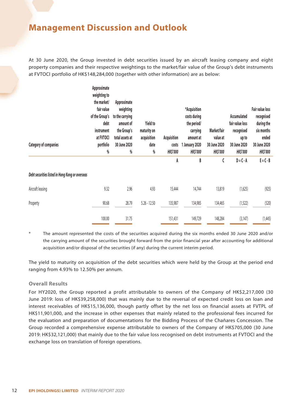At 30 June 2020, the Group invested in debt securities issued by an aircraft leasing company and eight property companies and their respective weightings to the market/fair value of the Group's debt instruments at FVTOCI portfolio of HK\$148,284,000 (together with other information) are as below:

| <b>Category of companies</b>                    | Approximate<br>weighting to<br>the market/<br>fair value<br>of the Group's<br>debt<br>instrument<br>at FVTOCI<br>portfolio<br>$\%$ | Approximate<br>weighting<br>to the carrying<br>amount of<br>the Group's<br>total assets at<br>30 June 2020<br>$\%$ | <b>Yield to</b><br>maturity on<br>acquisition<br>date<br>$\%$ | Acquisition<br>costs<br><b>HK\$'000</b> | *Acquisition<br>costs during<br>the period/<br>carrying<br>amount at<br>January 2020<br><b>HK\$'000</b> | Market/fair<br>value at<br>30 June 2020<br><b>HK\$'000</b> | Accumulated<br>fair value loss<br>recognised<br>up to<br>30 June 2020<br><b>HK\$'000</b> | Fair value loss<br>recognised<br>during the<br>six months<br>ended<br>30 June 2020<br><b>HK\$'000</b> |
|-------------------------------------------------|------------------------------------------------------------------------------------------------------------------------------------|--------------------------------------------------------------------------------------------------------------------|---------------------------------------------------------------|-----------------------------------------|---------------------------------------------------------------------------------------------------------|------------------------------------------------------------|------------------------------------------------------------------------------------------|-------------------------------------------------------------------------------------------------------|
|                                                 |                                                                                                                                    |                                                                                                                    |                                                               | A                                       | B                                                                                                       | C                                                          | $D = C - A$                                                                              | $E = C - B$                                                                                           |
| Debt securities listed in Hong Kong or overseas |                                                                                                                                    |                                                                                                                    |                                                               |                                         |                                                                                                         |                                                            |                                                                                          |                                                                                                       |
| Aircraft leasing                                | 9.32                                                                                                                               | 2.96                                                                                                               | 4.93                                                          | 15,444                                  | 14,744                                                                                                  | 13,819                                                     | (1,625)                                                                                  | (925)                                                                                                 |
| Property                                        | 90.68                                                                                                                              | 28.79                                                                                                              | $5.26 - 12.50$                                                | 135,987                                 | 134,985                                                                                                 | 134,465                                                    | (1,522)                                                                                  | (520)                                                                                                 |
|                                                 | 100.00                                                                                                                             | 31.75                                                                                                              |                                                               | 151,431                                 | 149,729                                                                                                 | 148,284                                                    | (3, 147)                                                                                 | (1,445)                                                                                               |

The amount represented the costs of the securities acquired during the six months ended 30 June 2020 and/or the carrying amount of the securities brought forward from the prior financial year after accounting for additional acquisition and/or disposal of the securities (if any) during the current interim period.

The yield to maturity on acquisition of the debt securities which were held by the Group at the period end ranging from 4.93% to 12.50% per annum.

#### **Overall Results**

For HY2020, the Group reported a profit attributable to owners of the Company of HK\$2,217,000 (30 June 2019: loss of HK\$39,258,000) that was mainly due to the reversal of expected credit loss on loan and interest receivables of HK\$15,136,000, though partly offset by the net loss on financial assets at FVTPL of HK\$11,901,000, and the increase in other expenses that mainly related to the professional fees incurred for the evaluation and preparation of documentations for the Bidding Process of the Chañares Concession. The Group recorded a comprehensive expense attributable to owners of the Company of HK\$705,000 (30 June 2019: HK\$32,121,000) that mainly due to the fair value loss recognised on debt instruments at FVTOCI and the exchange loss on translation of foreign operations.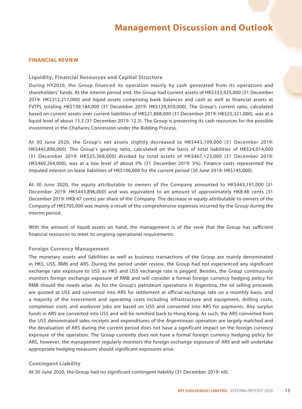#### **FINANCIAL REVIEW**

#### **Liquidity, Financial Resources and Capital Structure**

During HY2020, the Group financed its operation mainly by cash generated from its operations and shareholders' funds. At the interim period end, the Group had current assets of HK\$333,925,000 (31 December 2019: HK\$312,217,000) and liquid assets comprising bank balances and cash as well as financial assets at FVTPL totaling HK\$139,184,000 (31 December 2019: HK\$129,459,000). The Group's current ratio, calculated based on current assets over current liabilities of HK\$21,868,000 (31 December 2019: HK\$25,321,000), was at a liquid level of about 15.3 (31 December 2019: 12.3). The Group is preserving its cash resources for the possible investment in the Chañares Concession under the Bidding Process.

At 30 June 2020, the Group's net assets slightly decreased to HK\$443,109,000 (31 December 2019: HK\$443,896,000). The Group's gearing ratio, calculated on the basis of total liabilities of HK\$24,014,000 (31 December 2019: HK\$25,368,000) divided by total assets of HK\$467,123,000 (31 December 2019: HK\$469,264,000), was at a low level of about 5% (31 December 2019: 5%). Finance costs represented the imputed interest on lease liabilities of HK\$106,000 for the current period (30 June 2019: HK\$145,000).

At 30 June 2020, the equity attributable to owners of the Company amounted to HK\$443,191,000 (31 December 2019: HK\$443,896,000) and was equivalent to an amount of approximately HK8.46 cents (31 December 2019: HK8.47 cents) per share of the Company. The decrease in equity attributable to owners of the Company of HK\$705,000 was mainly a result of the comprehensive expenses incurred by the Group during the interim period.

With the amount of liquid assets on hand, the management is of the view that the Group has sufficient financial resources to meet its ongoing operational requirements.

#### **Foreign Currency Management**

The monetary assets and liabilities as well as business transactions of the Group are mainly denominated in HK\$, US\$, RMB and ARS. During the period under review, the Group had not experienced any significant exchange rate exposure to US\$ as HK\$ and US\$ exchange rate is pegged. Besides, the Group continuously monitors foreign exchange exposure of RMB and will consider a formal foreign currency hedging policy for RMB should the needs arise. As for the Group's petroleum operations in Argentina, the oil selling proceeds are quoted at US\$ and converted into ARS for settlement at official exchange rate on a monthly basis, and a majority of the investment and operating costs including infrastructure and equipment, drilling costs, completion costs and workover jobs are based on US\$ and converted into ARS for payments. Any surplus funds in ARS are converted into US\$ and will be remitted back to Hong Kong. As such, the ARS converted from the US\$ denominated sales receipts and expenditures of the Argentinean operation are largely matched and the devaluation of ARS during the current period does not have a significant impact on the foreign currency exposure of the operation. The Group currently does not have a formal foreign currency hedging policy for ARS, however, the management regularly monitors the foreign exchange exposure of ARS and will undertake appropriate hedging measures should significant exposures arise.

#### **Contingent Liability**

At 30 June 2020, the Group had no significant contingent liability (31 December 2019: nil).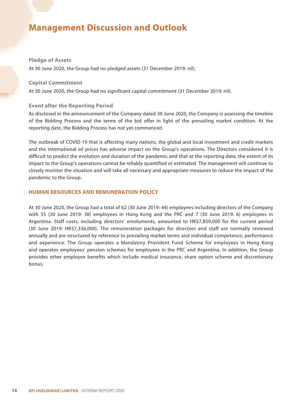#### **Pledge of Assets**

At 30 June 2020, the Group had no pledged assets (31 December 2019: nil).

#### **Capital Commitment**

At 30 June 2020, the Group had no significant capital commitment (31 December 2019: nil).

#### **Event after the Reporting Period**

As disclosed in the announcement of the Company dated 30 June 2020, the Company is assessing the timeline of the Bidding Process and the terms of the bid offer in light of the prevailing market condition. At the reporting date, the Bidding Process has not yet commenced.

The outbreak of COVID-19 that is affecting many nations, the global and local investment and credit markets and the international oil prices has adverse impact on the Group's operations. The Directors considered it is difficult to predict the evolution and duration of the pandemic and that at the reporting date, the extent of its impact to the Group's operations cannot be reliably quantified or estimated. The management will continue to closely monitor the situation and will take all necessary and appropriate measures to reduce the impact of the pandemic to the Group.

#### **HUMAN RESOURCES AND REMUNERATION POLICY**

At 30 June 2020, the Group had a total of 62 (30 June 2019: 44) employees including directors of the Company with 55 (30 June 2019: 38) employees in Hong Kong and the PRC and 7 (30 June 2019: 6) employees in Argentina. Staff costs, including directors' emoluments, amounted to HK\$7,859,000 for the current period (30 June 2019: HK\$7,336,000). The remuneration packages for directors and staff are normally reviewed annually and are structured by reference to prevailing market terms and individual competence, performance and experience. The Group operates a Mandatory Provident Fund Scheme for employees in Hong Kong and operates employees' pension schemes for employees in the PRC and Argentina. In addition, the Group provides other employee benefits which include medical insurance, share option scheme and discretionary bonus.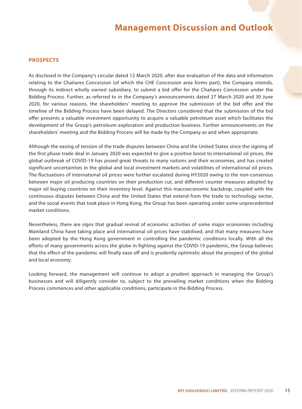#### **PROSPECTS**

As disclosed in the Company's circular dated 12 March 2020, after due evaluation of the data and information relating to the Chañares Concession (of which the CHE Concession area forms part), the Company intends, through its indirect wholly owned subsidiary, to submit a bid offer for the Chañares Concession under the Bidding Process. Further, as referred to in the Company's announcements dated 27 March 2020 and 30 June 2020, for various reasons, the shareholders' meeting to approve the submission of the bid offer and the timeline of the Bidding Process have been delayed. The Directors considered that the submission of the bid offer presents a valuable investment opportunity to acquire a valuable petroleum asset which facilitates the development of the Group's petroleum exploration and production business. Further announcements on the shareholders' meeting and the Bidding Process will be made by the Company as and when appropriate.

Although the easing of tension of the trade disputes between China and the United States since the signing of the first phase trade deal in January 2020 was expected to give a positive boost to international oil prices, the global outbreak of COVID-19 has posed great threats to many nations and their economies, and has created significant uncertainties in the global and local investment markets and volatilities of international oil prices. The fluctuations of international oil prices were further escalated during HY2020 owing to the non-consensus between major oil producing countries on their production cut, and different counter measures adopted by major oil buying countries on their inventory level. Against this macroeconomic backdrop, coupled with the continuous disputes between China and the United States that extend from the trade to technology sector, and the social events that took place in Hong Kong, the Group has been operating under some unprecedented market conditions.

Nevertheless, there are signs that gradual revival of economic activities of some major economies including Mainland China have taking place and international oil prices have stabilised, and that many measures have been adopted by the Hong Kong government in controlling the pandemic conditions locally. With all the efforts of many governments across the globe in fighting against the COVID-19 pandemic, the Group believes that the effect of the pandemic will finally ease off and is prudently optimistic about the prospect of the global and local economy.

Looking forward, the management will continue to adopt a prudent approach in managing the Group's businesses and will diligently consider to, subject to the prevailing market conditions when the Bidding Process commences and other applicable conditions, participate in the Bidding Process.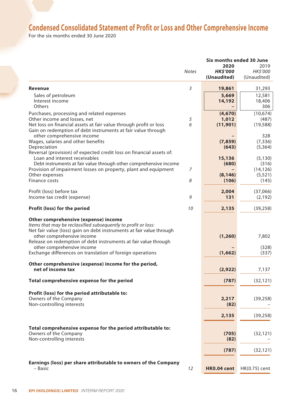## **Condensed Consolidated Statement of Profit or Loss and Other Comprehensive Income**

For the six months ended 30 June 2020

|                                                                           |              | Six months ended 30 June |               |  |
|---------------------------------------------------------------------------|--------------|--------------------------|---------------|--|
|                                                                           |              | 2020                     | 2019          |  |
|                                                                           | <b>Notes</b> | <b>HK\$'000</b>          | HK\$'000      |  |
|                                                                           |              | (Unaudited)              | (Unaudited)   |  |
| <b>Revenue</b>                                                            | 3            | 19,861                   | 31,293        |  |
| Sales of petroleum                                                        |              | 5,669                    | 12,581        |  |
| Interest income                                                           |              | 14,192                   | 18,406        |  |
| Others                                                                    |              |                          | 306           |  |
| Purchases, processing and related expenses                                |              | (4,670)                  | (10,674)      |  |
| Other income and losses, net                                              | 5            | 1,012                    | (487)         |  |
| Net loss on financial assets at fair value through profit or loss         | 6            | (11, 901)                | (19, 588)     |  |
| Gain on redemption of debt instruments at fair value through              |              |                          |               |  |
| other comprehensive income                                                |              |                          | 328           |  |
| Wages, salaries and other benefits                                        |              | (7, 859)                 | (7, 336)      |  |
| Depreciation                                                              |              | (643)                    | (5,364)       |  |
| Reversal (provision) of expected credit loss on financial assets of:      |              |                          |               |  |
| Loan and interest receivables                                             |              | 15,136                   | (5, 130)      |  |
| Debt instruments at fair value through other comprehensive income         |              | (680)                    | (316)         |  |
| Provision of impairment losses on property, plant and equipment           | 7            |                          | (14, 126)     |  |
| Other expenses                                                            |              | (8, 146)                 | (5, 521)      |  |
| Finance costs                                                             | 8            | (106)                    | (145)         |  |
| Profit (loss) before tax                                                  |              | 2,004                    | (37,066)      |  |
| Income tax credit (expense)                                               | 9            | 131                      | (2, 192)      |  |
|                                                                           |              |                          |               |  |
| Profit (loss) for the period                                              | 10           | 2,135                    | (39, 258)     |  |
| Other comprehensive (expense) income                                      |              |                          |               |  |
| Items that may be reclassified subsequently to profit or loss:            |              |                          |               |  |
| Net fair value (loss) gain on debt instruments at fair value through      |              |                          |               |  |
| other comprehensive income                                                |              | (1, 260)                 | 7,802         |  |
| Release on redemption of debt instruments at fair value through           |              |                          |               |  |
| other comprehensive income                                                |              |                          | (328)         |  |
| Exchange differences on translation of foreign operations                 |              | (1,662)                  | (337)         |  |
|                                                                           |              |                          |               |  |
| Other comprehensive (expense) income for the period,<br>net of income tax |              |                          |               |  |
|                                                                           |              | (2,922)                  | 7,137         |  |
| Total comprehensive expense for the period                                |              | (787)                    | (32, 121)     |  |
|                                                                           |              |                          |               |  |
| Profit (loss) for the period attributable to:                             |              |                          |               |  |
| Owners of the Company                                                     |              | 2,217                    | (39, 258)     |  |
| Non-controlling interests                                                 |              | (82)                     |               |  |
|                                                                           |              |                          |               |  |
|                                                                           |              | 2,135                    | (39, 258)     |  |
| Total comprehensive expense for the period attributable to:               |              |                          |               |  |
| Owners of the Company                                                     |              | (705)                    | (32, 121)     |  |
| Non-controlling interests                                                 |              | (82)                     |               |  |
|                                                                           |              |                          |               |  |
|                                                                           |              | (787)                    | (32, 121)     |  |
|                                                                           |              |                          |               |  |
| Earnings (loss) per share attributable to owners of the Company           |              |                          |               |  |
| - Basic                                                                   | 12           | HK0.04 cent              | HK(0.75) cent |  |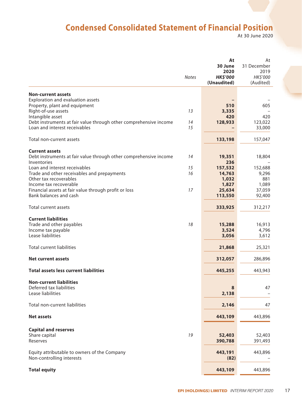### **Condensed Consolidated Statement of Financial Position**

At 30 June 2020

|                                                                                       | <b>Notes</b> | At<br>30 June<br>2020<br><b>HK\$'000</b> | At<br>31 December<br>2019<br><b>HK\$'000</b> |
|---------------------------------------------------------------------------------------|--------------|------------------------------------------|----------------------------------------------|
|                                                                                       |              | (Unaudited)                              | (Audited)                                    |
| <b>Non-current assets</b>                                                             |              |                                          |                                              |
| Exploration and evaluation assets                                                     |              |                                          |                                              |
| Property, plant and equipment                                                         |              | 510                                      | 605                                          |
| Right-of-use assets                                                                   | 13           | 3,335                                    |                                              |
| Intangible asset<br>Debt instruments at fair value through other comprehensive income | 14           | 420<br>128,933                           | 420<br>123,022                               |
| Loan and interest receivables                                                         | 15           |                                          | 33,000                                       |
|                                                                                       |              |                                          |                                              |
| Total non-current assets                                                              |              | 133,198                                  | 157,047                                      |
| <b>Current assets</b>                                                                 |              |                                          |                                              |
| Debt instruments at fair value through other comprehensive income                     | 14           | 19,351                                   | 18,804                                       |
| Inventories                                                                           |              | 236                                      |                                              |
| Loan and interest receivables                                                         | 15           | 157,532                                  | 152,688                                      |
| Trade and other receivables and prepayments<br>Other tax recoverables                 | 16           | 14,763<br>1,032                          | 9,296<br>881                                 |
| Income tax recoverable                                                                |              | 1,827                                    | 1,089                                        |
| Financial assets at fair value through profit or loss                                 | 17           | 25,634                                   | 37,059                                       |
| Bank balances and cash                                                                |              | 113,550                                  | 92,400                                       |
| Total current assets                                                                  |              | 333,925                                  | 312,217                                      |
| <b>Current liabilities</b>                                                            |              |                                          |                                              |
| Trade and other payables                                                              | 18           | 15,288                                   | 16,913                                       |
| Income tax payable                                                                    |              | 3,524                                    | 4,796                                        |
| Lease liabilities                                                                     |              | 3,056                                    | 3,612                                        |
|                                                                                       |              |                                          |                                              |
| <b>Total current liabilities</b>                                                      |              | 21,868                                   | 25,321                                       |
| <b>Net current assets</b>                                                             |              | 312,057                                  | 286,896                                      |
| <b>Total assets less current liabilities</b>                                          |              | 445,255                                  | 443,943                                      |
| <b>Non-current liabilities</b>                                                        |              |                                          |                                              |
| Deferred tax liabilities                                                              |              | 8                                        | 47                                           |
| Lease liabilities                                                                     |              | 2,138                                    |                                              |
| Total non-current liabilities                                                         |              | 2,146                                    | 47                                           |
|                                                                                       |              |                                          |                                              |
| <b>Net assets</b>                                                                     |              | 443,109                                  | 443,896                                      |
| <b>Capital and reserves</b>                                                           |              |                                          |                                              |
| Share capital                                                                         | 19           | 52,403                                   | 52,403                                       |
| Reserves                                                                              |              | 390,788                                  | 391,493                                      |
|                                                                                       |              |                                          |                                              |
| Equity attributable to owners of the Company<br>Non-controlling interests             |              | 443,191<br>(82)                          | 443,896                                      |
|                                                                                       |              |                                          |                                              |
| <b>Total equity</b>                                                                   |              | 443,109                                  | 443,896                                      |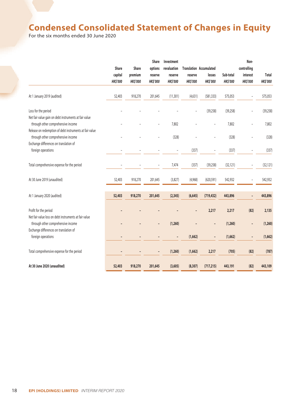### **Condensed Consolidated Statement of Changes in Equity**

For the six months ended 30 June 2020

|                                                                                             |                 |                 | Share           | Investment               |                 |                                |                 | Non-            |                 |
|---------------------------------------------------------------------------------------------|-----------------|-----------------|-----------------|--------------------------|-----------------|--------------------------------|-----------------|-----------------|-----------------|
|                                                                                             | Share           | Share           | options         | revaluation              |                 | <b>Translation Accumulated</b> |                 | controlling     |                 |
|                                                                                             | capital         | premium         | reserve         | reserve                  | reserve         | losses                         | Sub-total       | interest        | Total           |
|                                                                                             | <b>HK\$'000</b> | <b>HK\$'000</b> | <b>HK\$'000</b> | <b>HK\$'000</b>          | <b>HK\$'000</b> | <b>HK\$'000</b>                | <b>HK\$'000</b> | <b>HK\$'000</b> | <b>HK\$'000</b> |
| At 1 January 2019 (audited)                                                                 | 52,403          | 918,270         | 201,645         | (11, 301)                | (4,631)         | (581, 333)                     | 575,053         |                 | 575,053         |
| Loss for the period                                                                         |                 |                 |                 |                          |                 | (39, 258)                      | (39, 258)       |                 | (39, 258)       |
| Net fair value gain on debt instruments at fair value<br>through other comprehensive income |                 |                 |                 | 7,802                    |                 |                                | 7,802           | L,              | 7,802           |
| Release on redemption of debt instruments at fair value                                     |                 |                 |                 |                          |                 |                                |                 |                 |                 |
| through other comprehensive income                                                          |                 |                 |                 | (328)                    |                 |                                | (328)           |                 | (328)           |
| Exchange differences on translation of                                                      |                 |                 |                 |                          |                 |                                |                 |                 |                 |
| foreign operations                                                                          |                 |                 |                 | $\overline{\phantom{m}}$ | (337)           |                                | (337)           |                 | (337)           |
| Total comprehensive expense for the period                                                  |                 |                 | ÷               | 7,474                    | (337)           | (39, 258)                      | (32, 121)       | ÷               | (32, 121)       |
| At 30 June 2019 (unaudited)                                                                 | 52,403          | 918,270         | 201,645         | (3,827)                  | (4,968)         | (620, 591)                     | 542,932         |                 | 542,932         |
| At 1 January 2020 (audited)                                                                 | 52,403          | 918,270         | 201,645         | (2, 345)                 | (6, 645)        | (719, 432)                     | 443,896         |                 | 443,896         |
| Profit for the period                                                                       |                 |                 |                 |                          |                 | 2,217                          | 2,217           | (82)            | 2,135           |
| Net fair value loss on debt instruments at fair value                                       |                 |                 |                 |                          |                 |                                |                 |                 |                 |
| through other comprehensive income                                                          |                 |                 |                 | (1, 260)                 |                 |                                | (1, 260)        |                 | (1, 260)        |
| Exchange differences on translation of<br>foreign operations                                |                 |                 |                 |                          | (1,662)         |                                | (1,662)         | $\overline{a}$  | (1,662)         |
|                                                                                             |                 |                 |                 |                          |                 |                                |                 |                 |                 |
| Total comprehensive expense for the period                                                  |                 |                 |                 | (1, 260)                 | (1,662)         | 2,217                          | (705)           | (82)            | (787)           |
| At 30 June 2020 (unaudited)                                                                 | 52,403          | 918,270         | 201,645         | (3,605)                  | (8, 307)        | (717, 215)                     | 443,191         | (82)            | 443,109         |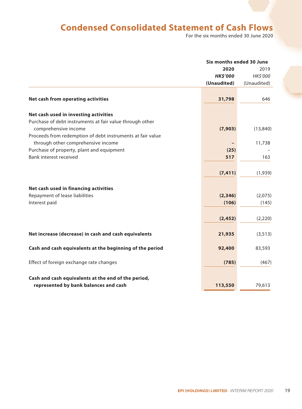### **Condensed Consolidated Statement of Cash Flows**

For the six months ended 30 June 2020

|                                                                                  | Six months ended 30 June |             |  |
|----------------------------------------------------------------------------------|--------------------------|-------------|--|
|                                                                                  | 2020                     | 2019        |  |
|                                                                                  | <b>HK\$'000</b>          | HK\$'000    |  |
|                                                                                  | (Unaudited)              | (Unaudited) |  |
|                                                                                  |                          |             |  |
| <b>Net cash from operating activities</b>                                        | 31,798                   | 646         |  |
| Net cash used in investing activities                                            |                          |             |  |
| Purchase of debt instruments at fair value through other<br>comprehensive income | (7,903)                  | (13, 840)   |  |
| Proceeds from redemption of debt instruments at fair value                       |                          |             |  |
| through other comprehensive income                                               |                          | 11,738      |  |
| Purchase of property, plant and equipment                                        | (25)                     |             |  |
| Bank interest received                                                           | 517                      | 163         |  |
|                                                                                  |                          |             |  |
|                                                                                  | (7, 411)                 | (1,939)     |  |
| Net cash used in financing activities                                            |                          |             |  |
| Repayment of lease liabilities                                                   | (2, 346)                 | (2,075)     |  |
| Interest paid                                                                    | (106)                    | (145)       |  |
|                                                                                  |                          |             |  |
|                                                                                  | (2, 452)                 | (2,220)     |  |
|                                                                                  |                          |             |  |
| Net increase (decrease) in cash and cash equivalents                             | 21,935                   | (3, 513)    |  |
| Cash and cash equivalents at the beginning of the period                         | 92,400                   | 83,593      |  |
| Effect of foreign exchange rate changes                                          | (785)                    | (467)       |  |
|                                                                                  |                          |             |  |
| Cash and cash equivalents at the end of the period,                              |                          |             |  |
| represented by bank balances and cash                                            | 113,550                  | 79,613      |  |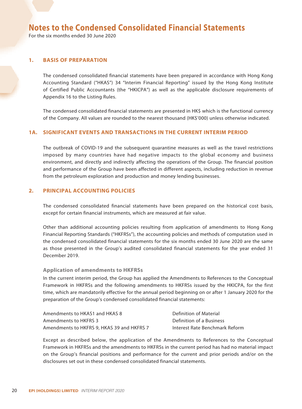For the six months ended 30 June 2020

#### **1. BASIS OF PREPARATION**

The condensed consolidated financial statements have been prepared in accordance with Hong Kong Accounting Standard ("HKAS") 34 "Interim Financial Reporting" issued by the Hong Kong Institute of Certified Public Accountants (the "HKICPA") as well as the applicable disclosure requirements of Appendix 16 to the Listing Rules.

The condensed consolidated financial statements are presented in HK\$ which is the functional currency of the Company. All values are rounded to the nearest thousand (HK\$'000) unless otherwise indicated.

#### **1A. SIGNIFICANT EVENTS AND TRANSACTIONS IN THE CURRENT INTERIM PERIOD**

The outbreak of COVID-19 and the subsequent quarantine measures as well as the travel restrictions imposed by many countries have had negative impacts to the global economy and business environment, and directly and indirectly affecting the operations of the Group. The financial position and performance of the Group have been affected in different aspects, including reduction in revenue from the petroleum exploration and production and money lending businesses.

#### **2. PRINCIPAL ACCOUNTING POLICIES**

The condensed consolidated financial statements have been prepared on the historical cost basis, except for certain financial instruments, which are measured at fair value.

Other than additional accounting policies resulting from application of amendments to Hong Kong Financial Reporting Standards ("HKFRSs"), the accounting policies and methods of computation used in the condensed consolidated financial statements for the six months ended 30 June 2020 are the same as those presented in the Group's audited consolidated financial statements for the year ended 31 December 2019.

#### **Application of amendments to HKFRSs**

In the current interim period, the Group has applied the Amendments to References to the Conceptual Framework in HKFRSs and the following amendments to HKFRSs issued by the HKICPA, for the first time, which are mandatorily effective for the annual period beginning on or after 1 January 2020 for the preparation of the Group's condensed consolidated financial statements:

| Amendments to HKAS1 and HKAS 8             | Definition of Material         |
|--------------------------------------------|--------------------------------|
| Amendments to HKFRS 3                      | Definition of a Business       |
| Amendments to HKFRS 9, HKAS 39 and HKFRS 7 | Interest Rate Benchmark Reform |

Except as described below, the application of the Amendments to References to the Conceptual Framework in HKFRSs and the amendments to HKFRSs in the current period has had no material impact on the Group's financial positions and performance for the current and prior periods and/or on the disclosures set out in these condensed consolidated financial statements.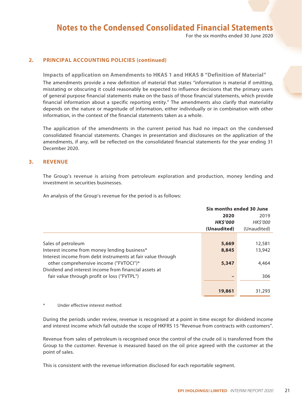For the six months ended 30 June 2020

#### **2. PRINCIPAL ACCOUNTING POLICIES (continued)**

#### **Impacts of application on Amendments to HKAS 1 and HKAS 8 "Definition of Material"**

The amendments provide a new definition of material that states "information is material if omitting, misstating or obscuring it could reasonably be expected to influence decisions that the primary users of general purpose financial statements make on the basis of those financial statements, which provide financial information about a specific reporting entity." The amendments also clarify that materiality depends on the nature or magnitude of information, either individually or in combination with other information, in the context of the financial statements taken as a whole.

The application of the amendments in the current period has had no impact on the condensed consolidated financial statements. Changes in presentation and disclosures on the application of the amendments, if any, will be reflected on the consolidated financial statements for the year ending 31 December 2020.

#### **3. REVENUE**

The Group's revenue is arising from petroleum exploration and production, money lending and investment in securities businesses.

An analysis of the Group's revenue for the period is as follows:

|                                                             |                | Six months ended 30 June |  |  |  |
|-------------------------------------------------------------|----------------|--------------------------|--|--|--|
|                                                             | 2020           | 2019                     |  |  |  |
|                                                             | <b>HKS'000</b> | <b>HKS'000</b>           |  |  |  |
|                                                             | (Unaudited)    | (Unaudited)              |  |  |  |
|                                                             |                |                          |  |  |  |
| Sales of petroleum                                          | 5,669          | 12,581                   |  |  |  |
| Interest income from money lending business*                | 8,845          | 13,942                   |  |  |  |
| Interest income from debt instruments at fair value through |                |                          |  |  |  |
| other comprehensive income ("FVTOCI")*                      | 5,347          | 4,464                    |  |  |  |
| Dividend and interest income from financial assets at       |                |                          |  |  |  |
| fair value through profit or loss ("FVTPL")                 |                | 306                      |  |  |  |
|                                                             |                |                          |  |  |  |
|                                                             | 19,861         | 31,293                   |  |  |  |
|                                                             |                |                          |  |  |  |

#### Under effective interest method

During the periods under review, revenue is recognised at a point in time except for dividend income and interest income which fall outside the scope of HKFRS 15 "Revenue from contracts with customers".

Revenue from sales of petroleum is recognised once the control of the crude oil is transferred from the Group to the customer. Revenue is measured based on the oil price agreed with the customer at the point of sales.

This is consistent with the revenue information disclosed for each reportable segment.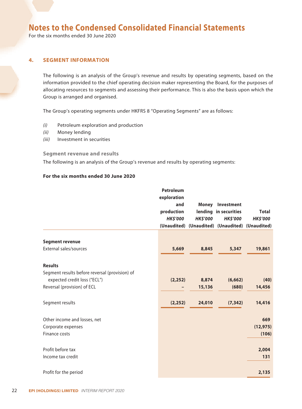For the six months ended 30 June 2020

#### **4. SEGMENT INFORMATION**

The following is an analysis of the Group's revenue and results by operating segments, based on the information provided to the chief operating decision maker representing the Board, for the purposes of allocating resources to segments and assessing their performance. This is also the basis upon which the Group is arranged and organised.

The Group's operating segments under HKFRS 8 "Operating Segments" are as follows:

- *(i)* Petroleum exploration and production
- *(ii)* Money lending
- *(iii)* Investment in securities

#### **Segment revenue and results**

The following is an analysis of the Group's revenue and results by operating segments:

#### **For the six months ended 30 June 2020**

|                                                | <b>Petroleum</b>   |                 |                                                 |                 |
|------------------------------------------------|--------------------|-----------------|-------------------------------------------------|-----------------|
|                                                | exploration<br>and |                 |                                                 |                 |
|                                                | production         |                 | <b>Money Investment</b>                         | <b>Total</b>    |
|                                                | <b>HK\$'000</b>    |                 | lending in securities                           |                 |
|                                                |                    | <b>HK\$'000</b> | <b>HK\$'000</b>                                 | <b>HK\$'000</b> |
|                                                |                    |                 | (Unaudited) (Unaudited) (Unaudited) (Unaudited) |                 |
| <b>Segment revenue</b>                         |                    |                 |                                                 |                 |
| External sales/sources                         | 5,669              | 8,845           | 5,347                                           | 19,861          |
| <b>Results</b>                                 |                    |                 |                                                 |                 |
| Segment results before reversal (provision) of |                    |                 |                                                 |                 |
| expected credit loss ("ECL")                   | (2, 252)           | 8,874           | (6,662)                                         | (40)            |
| Reversal (provision) of ECL                    |                    | 15,136          | (680)                                           | 14,456          |
| Segment results                                | (2, 252)           | 24,010          | (7, 342)                                        | 14,416          |
| Other income and losses, net                   |                    |                 |                                                 | 669             |
| Corporate expenses                             |                    |                 |                                                 | (12, 975)       |
| Finance costs                                  |                    |                 |                                                 | (106)           |
| Profit before tax                              |                    |                 |                                                 | 2,004           |
| Income tax credit                              |                    |                 |                                                 | 131             |
| Profit for the period                          |                    |                 |                                                 | 2,135           |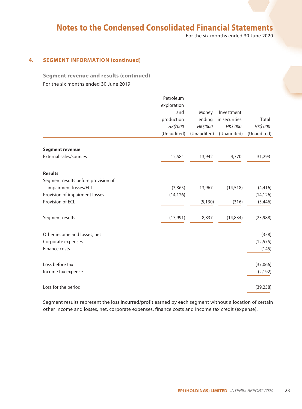For the six months ended 30 June 2020

#### **4. SEGMENT INFORMATION (continued)**

**Segment revenue and results (continued)** For the six months ended 30 June 2019

|                                     | Petroleum   |             |               |             |
|-------------------------------------|-------------|-------------|---------------|-------------|
|                                     | exploration |             |               |             |
|                                     | and         | Money       | Investment    |             |
|                                     | production  | lending     | in securities | Total       |
|                                     | HK\$'000    | HK\$'000    | HK\$'000      | HK\$'000    |
|                                     | (Unaudited) | (Unaudited) | (Unaudited)   | (Unaudited) |
| <b>Segment revenue</b>              |             |             |               |             |
| External sales/sources              | 12,581      | 13,942      | 4,770         | 31,293      |
| <b>Results</b>                      |             |             |               |             |
| Segment results before provision of |             |             |               |             |
| impairment losses/ECL               | (3,865)     | 13,967      | (14, 518)     | (4, 416)    |
| Provision of impairment losses      | (14, 126)   |             |               | (14, 126)   |
| Provision of ECL                    |             | (5, 130)    | (316)         | (5, 446)    |
| Segment results                     | (17,991)    | 8,837       | (14, 834)     | (23,988)    |
| Other income and losses, net        |             |             |               | (358)       |
| Corporate expenses                  |             |             |               | (12, 575)   |
| Finance costs                       |             |             |               | (145)       |
| Loss before tax                     |             |             |               | (37,066)    |
| Income tax expense                  |             |             |               | (2, 192)    |
| Loss for the period                 |             |             |               | (39, 258)   |

Segment results represent the loss incurred/profit earned by each segment without allocation of certain other income and losses, net, corporate expenses, finance costs and income tax credit (expense).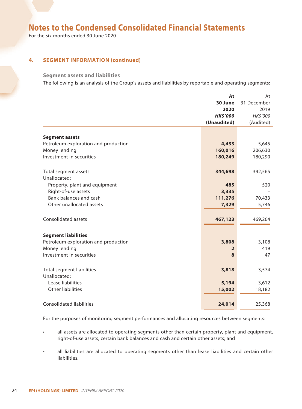For the six months ended 30 June 2020

#### **4. SEGMENT INFORMATION (continued)**

#### **Segment assets and liabilities**

The following is an analysis of the Group's assets and liabilities by reportable and operating segments:

|                                      | At              | At          |
|--------------------------------------|-----------------|-------------|
|                                      | 30 June         | 31 December |
|                                      | 2020            | 2019        |
|                                      | <b>HK\$'000</b> | HK\$'000    |
|                                      | (Unaudited)     | (Audited)   |
|                                      |                 |             |
| <b>Segment assets</b>                |                 |             |
| Petroleum exploration and production | 4,433           | 5,645       |
| Money lending                        | 160,016         | 206,630     |
| Investment in securities             | 180,249         | 180,290     |
|                                      |                 |             |
| Total segment assets                 | 344,698         | 392,565     |
| Unallocated:                         |                 |             |
| Property, plant and equipment        | 485             | 520         |
| Right-of-use assets                  | 3,335           |             |
| Bank balances and cash               | 111,276         | 70,433      |
| Other unallocated assets             | 7,329           | 5,746       |
|                                      |                 |             |
| <b>Consolidated assets</b>           | 467,123         | 469,264     |
|                                      |                 |             |
| <b>Segment liabilities</b>           |                 |             |
| Petroleum exploration and production | 3,808           | 3,108       |
| Money lending                        | $\overline{2}$  | 419         |
| Investment in securities             | 8               | 47          |
|                                      |                 |             |
| <b>Total segment liabilities</b>     | 3,818           | 3,574       |
| Unallocated:                         |                 |             |
| Lease liabilities                    | 5,194           | 3,612       |
| <b>Other liabilities</b>             | 15,002          | 18,182      |
|                                      |                 |             |
| <b>Consolidated liabilities</b>      | 24,014          | 25,368      |

For the purposes of monitoring segment performances and allocating resources between segments:

- all assets are allocated to operating segments other than certain property, plant and equipment, right-of-use assets, certain bank balances and cash and certain other assets; and
- all liabilities are allocated to operating segments other than lease liabilities and certain other liabilities.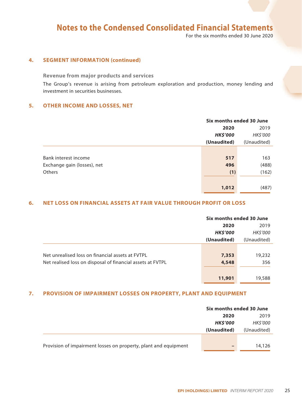For the six months ended 30 June 2020

#### **4. SEGMENT INFORMATION (continued)**

**Revenue from major products and services**

The Group's revenue is arising from petroleum exploration and production, money lending and investment in securities businesses.

#### **5. OTHER INCOME AND LOSSES, NET**

|                             | Six months ended 30 June |             |
|-----------------------------|--------------------------|-------------|
|                             | 2020                     | 2019        |
|                             | <b>HK\$'000</b>          | HK\$'000    |
|                             | (Unaudited)              | (Unaudited) |
|                             |                          |             |
| Bank interest income        | 517                      | 163         |
| Exchange gain (losses), net | 496                      | (488)       |
| Others                      | (1)                      | (162)       |
|                             |                          |             |
|                             | 1,012                    | (487)       |

#### **6. NET LOSS ON FINANCIAL ASSETS AT FAIR VALUE THROUGH PROFIT OR LOSS**

|                                                            | Six months ended 30 June |                |
|------------------------------------------------------------|--------------------------|----------------|
|                                                            | 2020                     | 2019           |
|                                                            | <b>HK\$'000</b>          | <b>HKS'000</b> |
|                                                            | (Unaudited)              | (Unaudited)    |
|                                                            |                          |                |
| Net unrealised loss on financial assets at FVTPL           | 7,353                    | 19,232         |
| Net realised loss on disposal of financial assets at FVTPL | 4,548                    | 356            |
|                                                            |                          |                |
|                                                            | 11,901                   | 19,588         |

#### **7. PROVISION OF IMPAIRMENT LOSSES ON PROPERTY, PLANT AND EQUIPMENT**

|                                                                 | Six months ended 30 June |             |
|-----------------------------------------------------------------|--------------------------|-------------|
|                                                                 | 2019<br>2020             |             |
|                                                                 | <b>HK\$'000</b>          | HK\$'000    |
|                                                                 | (Unaudited)              | (Unaudited) |
|                                                                 |                          |             |
| Provision of impairment losses on property, plant and equipment | -                        | 14,126      |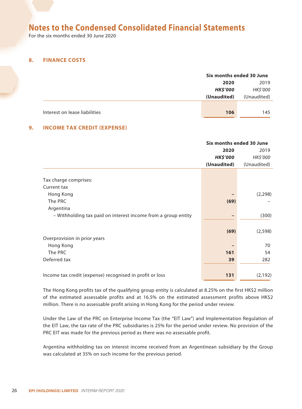For the six months ended 30 June 2020

#### **8. FINANCE COSTS**

|                               | Six months ended 30 June |                 |
|-------------------------------|--------------------------|-----------------|
|                               | 2020                     | 2019            |
|                               | <b>HK\$'000</b>          | <b>HK\$'000</b> |
|                               | (Unaudited)              | (Unaudited)     |
|                               |                          |                 |
| Interest on lease liabilities | 106                      | 145             |

#### **9. INCOME TAX CREDIT (EXPENSE)**

|                                                               | Six months ended 30 June |             |
|---------------------------------------------------------------|--------------------------|-------------|
|                                                               | 2020                     | 2019        |
|                                                               | <b>HK\$'000</b>          | HK\$'000    |
|                                                               | (Unaudited)              | (Unaudited) |
|                                                               |                          |             |
| Tax charge comprises:                                         |                          |             |
| Current tax                                                   |                          |             |
| Hong Kong                                                     |                          | (2, 298)    |
| The PRC                                                       | (69)                     |             |
| Argentina                                                     |                          |             |
| - Withholding tax paid on interest income from a group entity |                          | (300)       |
|                                                               |                          |             |
|                                                               | (69)                     | (2, 598)    |
| Overprovision in prior years                                  |                          |             |
| Hong Kong                                                     |                          | 70          |
| The PRC                                                       | 161                      | 54          |
| Deferred tax                                                  | 39                       | 282         |
|                                                               |                          |             |
| Income tax credit (expense) recognised in profit or loss      | 131                      | (2, 192)    |
|                                                               |                          |             |

The Hong Kong profits tax of the qualifying group entity is calculated at 8.25% on the first HK\$2 million of the estimated assessable profits and at 16.5% on the estimated assessment profits above HK\$2 million. There is no assessable profit arising in Hong Kong for the period under review.

Under the Law of the PRC on Enterprise Income Tax (the "EIT Law") and Implementation Regulation of the EIT Law, the tax rate of the PRC subsidiaries is 25% for the period under review. No provision of the PRC EIT was made for the previous period as there was no assessable profit.

Argentina withholding tax on interest income received from an Argentinean subsidiary by the Group was calculated at 35% on such income for the previous period.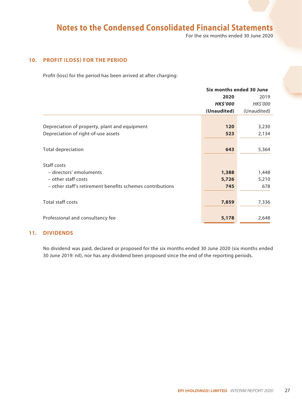For the six months ended 30 June 2020

#### **10. PROFIT (LOSS) FOR THE PERIOD**

Profit (loss) for the period has been arrived at after charging:

|                                                           | Six months ended 30 June |                 |
|-----------------------------------------------------------|--------------------------|-----------------|
|                                                           | 2020                     | 2019            |
|                                                           | <b>HK\$'000</b>          | <b>HK\$'000</b> |
|                                                           | (Unaudited)              | (Unaudited)     |
|                                                           |                          |                 |
| Depreciation of property, plant and equipment             | 120                      | 3,230           |
| Depreciation of right-of-use assets                       | 523                      | 2,134           |
|                                                           |                          |                 |
| <b>Total depreciation</b>                                 | 643                      | 5,364           |
|                                                           |                          |                 |
| Staff costs                                               |                          |                 |
| - directors' emoluments                                   | 1,388                    | 1,448           |
| - other staff costs                                       | 5,726                    | 5,210           |
| - other staff's retirement benefits schemes contributions | 745                      | 678             |
|                                                           |                          |                 |
| Total staff costs                                         | 7,859                    | 7,336           |
|                                                           |                          |                 |
| Professional and consultancy fee                          | 5,178                    | 2,648           |
|                                                           |                          |                 |

#### **11. DIVIDENDS**

No dividend was paid, declared or proposed for the six months ended 30 June 2020 (six months ended 30 June 2019: nil), nor has any dividend been proposed since the end of the reporting periods.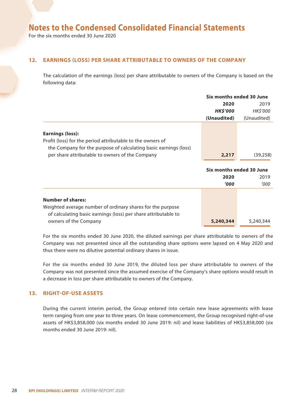For the six months ended 30 June 2020

#### **12. EARNINGS (LOSS) PER SHARE ATTRIBUTABLE TO OWNERS OF THE COMPANY**

The calculation of the earnings (loss) per share attributable to owners of the Company is based on the following data:

|                                                                                                                                                           | Six months ended 30 June |                          |
|-----------------------------------------------------------------------------------------------------------------------------------------------------------|--------------------------|--------------------------|
|                                                                                                                                                           | 2020                     | 2019                     |
|                                                                                                                                                           | <b>HK\$'000</b>          | HK\$'000                 |
|                                                                                                                                                           | (Unaudited)              | (Unaudited)              |
| <b>Earnings (loss):</b><br>Profit (loss) for the period attributable to the owners of<br>the Company for the purpose of calculating basic earnings (loss) |                          |                          |
| per share attributable to owners of the Company                                                                                                           | 2,217                    | (39, 258)                |
|                                                                                                                                                           |                          | Six months ended 30 June |
|                                                                                                                                                           | 2020                     | 2019                     |
|                                                                                                                                                           | <b>'000</b>              | '000                     |
| <b>Number of shares:</b><br>Weighted average number of ordinary shares for the purpose<br>of calculating basic earnings (loss) per share attributable to  |                          |                          |
| owners of the Company                                                                                                                                     | 5,240,344                | 5,240,344                |

For the six months ended 30 June 2020, the diluted earnings per share attributable to owners of the Company was not presented since all the outstanding share options were lapsed on 4 May 2020 and thus there were no dilutive potential ordinary shares in issue.

For the six months ended 30 June 2019, the diluted loss per share attributable to owners of the Company was not presented since the assumed exercise of the Company's share options would result in a decrease in loss per share attributable to owners of the Company.

#### **13. RIGHT-OF-USE ASSETS**

During the current interim period, the Group entered into certain new lease agreements with lease term ranging from one year to three years. On lease commencement, the Group recognised right-of-use assets of HK\$3,858,000 (six months ended 30 June 2019: nil) and lease liabilities of HK\$3,858,000 (six months ended 30 June 2019: nil).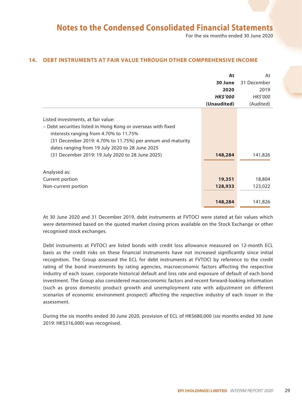For the six months ended 30 June 2020

#### **14. DEBT INSTRUMENTS AT FAIR VALUE THROUGH OTHER COMPREHENSIVE INCOME**

|                                                                                                                                                                                                                                                                                                                     | At              | At              |
|---------------------------------------------------------------------------------------------------------------------------------------------------------------------------------------------------------------------------------------------------------------------------------------------------------------------|-----------------|-----------------|
|                                                                                                                                                                                                                                                                                                                     | 30 June         | 31 December     |
|                                                                                                                                                                                                                                                                                                                     | 2020            | 2019            |
|                                                                                                                                                                                                                                                                                                                     | <b>HK\$'000</b> | <b>HK\$'000</b> |
|                                                                                                                                                                                                                                                                                                                     | (Unaudited)     | (Audited)       |
| Listed investments, at fair value:<br>- Debt securities listed in Hong Kong or overseas with fixed<br>interests ranging from 4.70% to 11.75%<br>$(31$ December 2019: 4.70% to 11.75%) per annum and maturity<br>dates ranging from 19 July 2020 to 28 June 2025<br>(31 December 2019: 19 July 2020 to 28 June 2025) | 148,284         | 141,826         |
| Analysed as:                                                                                                                                                                                                                                                                                                        |                 |                 |
| Current portion                                                                                                                                                                                                                                                                                                     | 19,351          | 18,804          |
| Non-current portion                                                                                                                                                                                                                                                                                                 | 128,933         | 123,022         |
|                                                                                                                                                                                                                                                                                                                     | 148,284         | 141,826         |

At 30 June 2020 and 31 December 2019, debt instruments at FVTOCI were stated at fair values which were determined based on the quoted market closing prices available on the Stock Exchange or other recognised stock exchanges.

Debt instruments at FVTOCI are listed bonds with credit loss allowance measured on 12-month ECL basis as the credit risks on these financial instruments have not increased significantly since initial recognition. The Group assessed the ECL for debt instruments at FVTOCI by reference to the credit rating of the bond investments by rating agencies, macroeconomic factors affecting the respective industry of each issuer, corporate historical default and loss rate and exposure of default of each bond investment. The Group also considered macroeconomic factors and recent forward-looking information (such as gross domestic product growth and unemployment rate with adjustment on different scenarios of economic environment prospect) affecting the respective industry of each issuer in the assessment.

During the six months ended 30 June 2020, provision of ECL of HK\$680,000 (six months ended 30 June 2019: HK\$316,000) was recognised.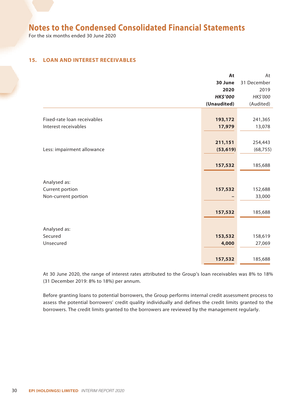For the six months ended 30 June 2020

#### **15. LOAN AND INTEREST RECEIVABLES**

|                             | At              | At          |
|-----------------------------|-----------------|-------------|
|                             | 30 June         | 31 December |
|                             | 2020            | 2019        |
|                             | <b>HK\$'000</b> | HK\$'000    |
|                             | (Unaudited)     | (Audited)   |
|                             |                 |             |
| Fixed-rate loan receivables | 193,172         | 241,365     |
| Interest receivables        | 17,979          | 13,078      |
|                             |                 |             |
|                             | 211,151         | 254,443     |
| Less: impairment allowance  | (53, 619)       | (68, 755)   |
|                             |                 |             |
|                             | 157,532         | 185,688     |
|                             |                 |             |
| Analysed as:                |                 |             |
| Current portion             | 157,532         | 152,688     |
| Non-current portion         |                 | 33,000      |
|                             |                 |             |
|                             | 157,532         | 185,688     |
|                             |                 |             |
| Analysed as:                |                 |             |
| Secured                     | 153,532         | 158,619     |
| Unsecured                   | 4,000           | 27,069      |
|                             |                 |             |
|                             | 157,532         | 185,688     |
|                             |                 |             |

At 30 June 2020, the range of interest rates attributed to the Group's loan receivables was 8% to 18% (31 December 2019: 8% to 18%) per annum.

Before granting loans to potential borrowers, the Group performs internal credit assessment process to assess the potential borrowers' credit quality individually and defines the credit limits granted to the borrowers. The credit limits granted to the borrowers are reviewed by the management regularly.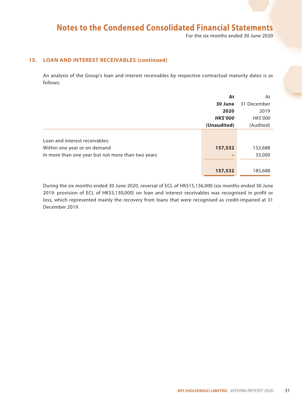For the six months ended 30 June 2020

#### **15. LOAN AND INTEREST RECEIVABLES (continued)**

An analysis of the Group's loan and interest receivables by respective contractual maturity dates is as follows:

|                                                   | At              | At              |
|---------------------------------------------------|-----------------|-----------------|
|                                                   | 30 June         | 31 December     |
|                                                   | 2020            | 2019            |
|                                                   | <b>HK\$'000</b> | <b>HK\$'000</b> |
|                                                   | (Unaudited)     | (Audited)       |
|                                                   |                 |                 |
| Loan and interest receivables:                    |                 |                 |
| Within one year or on demand                      | 157,532         | 152,688         |
| In more than one year but not more than two years |                 | 33,000          |
|                                                   |                 |                 |
|                                                   | 157,532         | 185,688         |

During the six months ended 30 June 2020, reversal of ECL of HK\$15,136,000 (six months ended 30 June 2019: provision of ECL of HK\$5,130,000) on loan and interest receivables was recognised in profit or loss, which represented mainly the recovery from loans that were recognised as credit-impaired at 31 December 2019.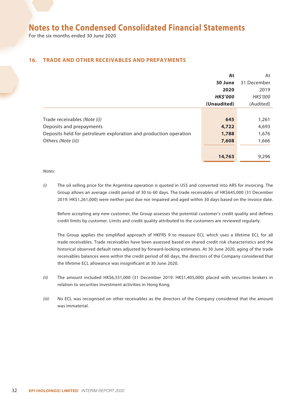For the six months ended 30 June 2020

#### **16. TRADE AND OTHER RECEIVABLES AND PREPAYMENTS**

|                                                                  | At              | At              |
|------------------------------------------------------------------|-----------------|-----------------|
|                                                                  | 30 June         | 31 December     |
|                                                                  | 2020            | 2019            |
|                                                                  | <b>HK\$'000</b> | <b>HK\$'000</b> |
|                                                                  | (Unaudited)     | (Audited)       |
|                                                                  |                 |                 |
| Trade receivables (Note (i))                                     | 645             | 1,261           |
| Deposits and prepayments                                         | 4,722           | 4,693           |
| Deposits held for petroleum exploration and production operation | 1,788           | 1,676           |
| Others (Note (ii))                                               | 7,608           | 1,666           |
|                                                                  |                 |                 |
|                                                                  | 14,763          | 9,296           |

*Notes:*

*(i)* The oil selling price for the Argentina operation is quoted in US\$ and converted into ARS for invoicing. The Group allows an average credit period of 30 to 60 days. The trade receivables of HK\$645,000 (31 December 2019: HK\$1,261,000) were neither past due nor impaired and aged within 30 days based on the invoice date.

Before accepting any new customer, the Group assesses the potential customer's credit quality and defines credit limits by customer. Limits and credit quality attributed to the customers are reviewed regularly.

The Group applies the simplified approach of HKFRS 9 to measure ECL which uses a lifetime ECL for all trade receivables. Trade receivables have been assessed based on shared credit risk characteristics and the historical observed default rates adjusted by forward-looking estimates. At 30 June 2020, aging of the trade receivables balances were within the credit period of 60 days, the directors of the Company considered that the lifetime ECL allowance was insignificant at 30 June 2020.

- *(ii)* The amount included HK\$6,331,000 (31 December 2019: HK\$1,405,000) placed with securities brokers in relation to securities investment activities in Hong Kong.
- *(iii)* No ECL was recognised on other receivables as the directors of the Company considered that the amount was immaterial.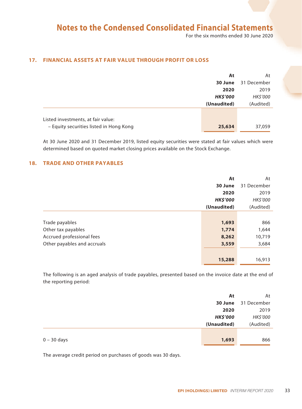For the six months ended 30 June 2020

#### **17. FINANCIAL ASSETS AT FAIR VALUE THROUGH PROFIT OR LOSS**

|                                         | At              | At          |
|-----------------------------------------|-----------------|-------------|
|                                         | 30 June         | 31 December |
|                                         | 2020            | 2019        |
|                                         | <b>HK\$'000</b> | HK\$'000    |
|                                         | (Unaudited)     | (Audited)   |
|                                         |                 |             |
| Listed investments, at fair value:      |                 |             |
| - Equity securities listed in Hong Kong | 25,634          | 37,059      |

At 30 June 2020 and 31 December 2019, listed equity securities were stated at fair values which were determined based on quoted market closing prices available on the Stock Exchange.

#### **18. TRADE AND OTHER PAYABLES**

|                             | At              | At          |
|-----------------------------|-----------------|-------------|
|                             | 30 June         | 31 December |
|                             | 2020            | 2019        |
|                             | <b>HK\$'000</b> | HK\$'000    |
|                             | (Unaudited)     | (Audited)   |
|                             |                 |             |
| Trade payables              | 1,693           | 866         |
| Other tax payables          | 1,774           | 1,644       |
| Accrued professional fees   | 8,262           | 10,719      |
| Other payables and accruals | 3,559           | 3,684       |
|                             |                 |             |
|                             | 15,288          | 16,913      |

The following is an aged analysis of trade payables, presented based on the invoice date at the end of the reporting period:

|               | At              | At          |
|---------------|-----------------|-------------|
|               | 30 June         | 31 December |
|               | 2020            | 2019        |
|               | <b>HK\$'000</b> | HK\$'000    |
|               | (Unaudited)     | (Audited)   |
|               |                 |             |
| $0 - 30$ days | 1,693           | 866         |

The average credit period on purchases of goods was 30 days.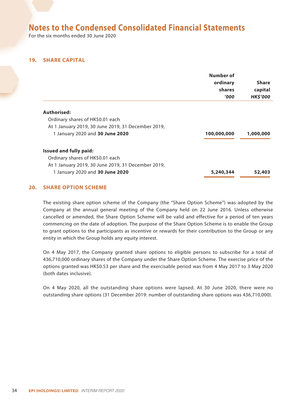For the six months ended 30 June 2020

#### **19. SHARE CAPITAL**

|                                                    | Number of<br>ordinary<br>shares<br>'000' | <b>Share</b><br>capital<br><b>HK\$'000</b> |
|----------------------------------------------------|------------------------------------------|--------------------------------------------|
| Authorised:                                        |                                          |                                            |
| Ordinary shares of HK\$0.01 each                   |                                          |                                            |
| At 1 January 2019, 30 June 2019, 31 December 2019, |                                          |                                            |
| 1 January 2020 and 30 June 2020                    | 100,000,000                              | 1,000,000                                  |
| Issued and fully paid:                             |                                          |                                            |
| Ordinary shares of HK\$0.01 each                   |                                          |                                            |
| At 1 January 2019, 30 June 2019, 31 December 2019, |                                          |                                            |
| 1 January 2020 and 30 June 2020                    | 5,240,344                                | 52,403                                     |

#### **20. SHARE OPTION SCHEME**

The existing share option scheme of the Company (the "Share Option Scheme") was adopted by the Company at the annual general meeting of the Company held on 22 June 2016. Unless otherwise cancelled or amended, the Share Option Scheme will be valid and effective for a period of ten years commencing on the date of adoption. The purpose of the Share Option Scheme is to enable the Group to grant options to the participants as incentive or rewards for their contribution to the Group or any entity in which the Group holds any equity interest.

On 4 May 2017, the Company granted share options to eligible persons to subscribe for a total of 436,710,000 ordinary shares of the Company under the Share Option Scheme. The exercise price of the options granted was HK\$0.53 per share and the exercisable period was from 4 May 2017 to 3 May 2020 (both dates inclusive).

On 4 May 2020, all the outstanding share options were lapsed. At 30 June 2020, there were no outstanding share options (31 December 2019: number of outstanding share options was 436,710,000).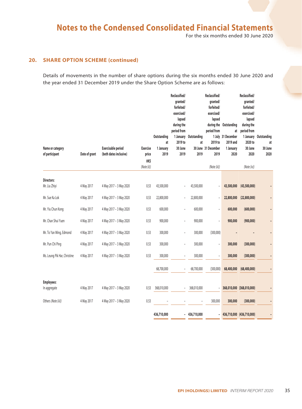For the six months ended 30 June 2020

#### **20. SHARE OPTION SCHEME (continued)**

Details of movements in the number of share options during the six months ended 30 June 2020 and the year ended 31 December 2019 under the Share Option Scheme are as follows:

| Name or category<br>of participant | Date of grant | <b>Exercisable period</b><br>(both dates inclusive) | <b>Exercise</b><br>price<br>HK\$ | Outstanding<br>at<br>1 January<br>2019 | Reclassified/<br>granted/<br>forfeited/<br>exercised/<br>lapsed<br>during the<br>period from<br>2019 to<br>30 June<br>2019 | 1 January Outstanding<br>at<br>2019 | Reclassified/<br>granted/<br>forfeited/<br>exercised/<br>lapsed<br>during the<br>period from<br>2019 to<br>30 June 31 December<br>2019 | Outstanding<br>at<br>1 July 31 December<br>2019 and<br>1 January<br>2020 | Reclassified/<br>granted/<br>forfeited/<br>exercised/<br>lapsed<br>during the<br>period from<br>1 January<br>2020 to<br>30 June<br>2020 | Outstanding<br>at<br>30 June<br>2020 |
|------------------------------------|---------------|-----------------------------------------------------|----------------------------------|----------------------------------------|----------------------------------------------------------------------------------------------------------------------------|-------------------------------------|----------------------------------------------------------------------------------------------------------------------------------------|--------------------------------------------------------------------------|-----------------------------------------------------------------------------------------------------------------------------------------|--------------------------------------|
|                                    |               |                                                     | (Note (ii))                      |                                        |                                                                                                                            |                                     | (Note (iii))                                                                                                                           |                                                                          | (Note (iv))                                                                                                                             |                                      |
| <b>Directors:</b><br>Mr. Liu Zhiyi | 4 May 2017    | 4 May 2017 - 3 May 2020                             | 0.53                             | 43,500,000                             |                                                                                                                            | 43,500,000                          |                                                                                                                                        | 43,500,000                                                               | (43,500,000)                                                                                                                            |                                      |
| Mr. Sue Ka Lok                     | 4 May 2017    | 4 May 2017 - 3 May 2020                             | 0.53                             | 22,800,000                             |                                                                                                                            | 22,800,000                          |                                                                                                                                        | 22,800,000                                                               | (22,800,000)                                                                                                                            |                                      |
| Mr. Yiu Chun Kong                  | 4 May 2017    | 4 May 2017 - 3 May 2020                             | 0.53                             | 600,000                                | ÷,                                                                                                                         | 600,000                             | ÷,                                                                                                                                     | 600,000                                                                  | (600,000)                                                                                                                               |                                      |
| Mr. Chan Shui Yuen                 | 4 May 2017    | 4 May 2017 - 3 May 2020                             | 0.53                             | 900,000                                | Ē,                                                                                                                         | 900,000                             | ÷,                                                                                                                                     | 900,000                                                                  | (900, 000)                                                                                                                              |                                      |
| Mr. To Yan Ming, Edmond            | 4 May 2017    | 4 May 2017 - 3 May 2020                             | 0.53                             | 300,000                                | ÷,                                                                                                                         | 300,000                             | (300,000)                                                                                                                              |                                                                          |                                                                                                                                         |                                      |
| Mr. Pun Chi Ping                   | 4 May 2017    | 4 May 2017 - 3 May 2020                             | 0.53                             | 300,000                                | $\qquad \qquad \blacksquare$                                                                                               | 300,000                             | $\overline{a}$                                                                                                                         | 300,000                                                                  | (300,000)                                                                                                                               |                                      |
| Ms. Leung Pik Har, Christine       | 4 May 2017    | 4 May 2017 - 3 May 2020                             | 0.53                             | 300,000                                | ÷,                                                                                                                         | 300,000                             |                                                                                                                                        | 300,000                                                                  | (300,000)                                                                                                                               |                                      |
|                                    |               |                                                     |                                  | 68,700,000                             |                                                                                                                            | 68,700,000                          | (300,000)                                                                                                                              | 68,400,000                                                               | (68, 400, 000)                                                                                                                          |                                      |
| <b>Employees:</b><br>In aggregate  | 4 May 2017    | 4 May 2017 - 3 May 2020                             | 0.53                             | 368,010,000                            | $\qquad \qquad \blacksquare$                                                                                               | 368,010,000                         | $\overline{\phantom{m}}$                                                                                                               |                                                                          | 368,010,000 (368,010,000)                                                                                                               |                                      |
| Others (Note (iii))                | 4 May 2017    | 4 May 2017 - 3 May 2020                             | 0.53                             |                                        |                                                                                                                            |                                     | 300,000                                                                                                                                | 300,000                                                                  | (300,000)                                                                                                                               |                                      |
|                                    |               |                                                     |                                  | 436,710,000                            | $\overline{\phantom{a}}$                                                                                                   | 436,710,000                         | $\overline{\phantom{0}}$                                                                                                               |                                                                          | 436,710,000 (436,710,000)                                                                                                               |                                      |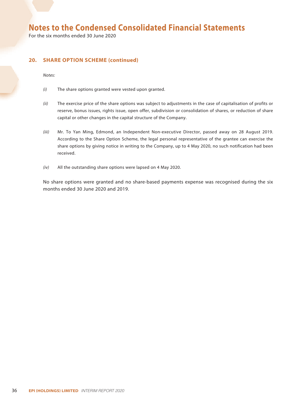For the six months ended 30 June 2020

#### **20. SHARE OPTION SCHEME (continued)**

*Notes:*

- *(i)* The share options granted were vested upon granted.
- *(ii)* The exercise price of the share options was subject to adjustments in the case of capitalisation of profits or reserve, bonus issues, rights issue, open offer, subdivision or consolidation of shares, or reduction of share capital or other changes in the capital structure of the Company.
- *(iii)* Mr. To Yan Ming, Edmond, an Independent Non-executive Director, passed away on 28 August 2019. According to the Share Option Scheme, the legal personal representative of the grantee can exercise the share options by giving notice in writing to the Company, up to 4 May 2020, no such notification had been received.
- *(iv)* All the outstanding share options were lapsed on 4 May 2020.

No share options were granted and no share-based payments expense was recognised during the six months ended 30 June 2020 and 2019.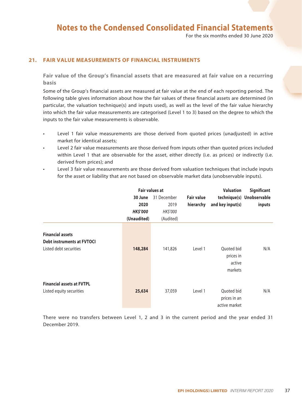For the six months ended 30 June 2020

#### **21. FAIR VALUE MEASUREMENTS OF FINANCIAL INSTRUMENTS**

**Fair value of the Group's financial assets that are measured at fair value on a recurring basis**

Some of the Group's financial assets are measured at fair value at the end of each reporting period. The following table gives information about how the fair values of these financial assets are determined (in particular, the valuation technique(s) and inputs used), as well as the level of the fair value hierarchy into which the fair value measurements are categorised (Level 1 to 3) based on the degree to which the inputs to the fair value measurements is observable.

- Level 1 fair value measurements are those derived from quoted prices (unadjusted) in active market for identical assets;
- Level 2 fair value measurements are those derived from inputs other than quoted prices included within Level 1 that are observable for the asset, either directly (i.e. as prices) or indirectly (i.e. derived from prices); and
- Level 3 fair value measurements are those derived from valuation techniques that include inputs for the asset or liability that are not based on observable market data (unobservable inputs).

|                                                                                        | <b>Fair values at</b> |             |                   | <b>Valuation</b>                             | Significant               |  |
|----------------------------------------------------------------------------------------|-----------------------|-------------|-------------------|----------------------------------------------|---------------------------|--|
|                                                                                        | 30 June               | 31 December | <b>Fair value</b> |                                              | technique(s) Unobservable |  |
|                                                                                        | 2020                  | 2019        | hierarchy         | and key input(s)                             | inputs                    |  |
|                                                                                        | <b>HK\$'000</b>       | HK\$'000    |                   |                                              |                           |  |
|                                                                                        | (Unaudited)           | (Audited)   |                   |                                              |                           |  |
| <b>Financial assets</b><br><b>Debt instruments at FVTOCI</b><br>Listed debt securities | 148,284               | 141,826     | Level 1           | Quoted bid<br>prices in<br>active<br>markets | N/A                       |  |
| <b>Financial assets at FVTPL</b><br>Listed equity securities                           | 25,634                | 37,059      | Level 1           | Quoted bid<br>prices in an<br>active market  | N/A                       |  |

There were no transfers between Level 1, 2 and 3 in the current period and the year ended 31 December 2019.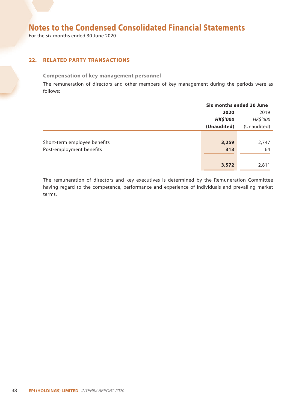For the six months ended 30 June 2020

#### **22. RELATED PARTY TRANSACTIONS**

#### **Compensation of key management personnel**

The remuneration of directors and other members of key management during the periods were as follows:

|                              | Six months ended 30 June |             |  |
|------------------------------|--------------------------|-------------|--|
|                              | 2019<br>2020             |             |  |
|                              | <b>HK\$'000</b>          | HK\$'000    |  |
|                              | (Unaudited)              | (Unaudited) |  |
|                              |                          |             |  |
| Short-term employee benefits | 3,259                    | 2,747       |  |
| Post-employment benefits     | 313                      | 64          |  |
|                              |                          |             |  |
|                              | 3,572                    | 2,811       |  |

The remuneration of directors and key executives is determined by the Remuneration Committee having regard to the competence, performance and experience of individuals and prevailing market terms.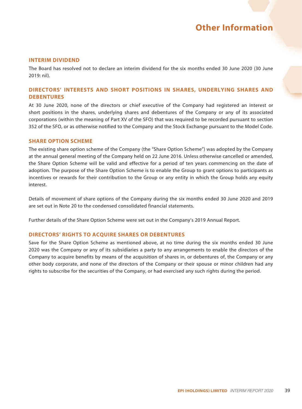#### **INTERIM DIVIDEND**

The Board has resolved not to declare an interim dividend for the six months ended 30 June 2020 (30 June 2019: nil).

#### **DIRECTORS' INTERESTS AND SHORT POSITIONS IN SHARES, UNDERLYING SHARES AND DEBENTURES**

At 30 June 2020, none of the directors or chief executive of the Company had registered an interest or short positions in the shares, underlying shares and debentures of the Company or any of its associated corporations (within the meaning of Part XV of the SFO) that was required to be recorded pursuant to section 352 of the SFO, or as otherwise notified to the Company and the Stock Exchange pursuant to the Model Code.

#### **SHARE OPTION SCHEME**

The existing share option scheme of the Company (the "Share Option Scheme") was adopted by the Company at the annual general meeting of the Company held on 22 June 2016. Unless otherwise cancelled or amended, the Share Option Scheme will be valid and effective for a period of ten years commencing on the date of adoption. The purpose of the Share Option Scheme is to enable the Group to grant options to participants as incentives or rewards for their contribution to the Group or any entity in which the Group holds any equity interest.

Details of movement of share options of the Company during the six months ended 30 June 2020 and 2019 are set out in Note 20 to the condensed consolidated financial statements.

Further details of the Share Option Scheme were set out in the Company's 2019 Annual Report.

#### **DIRECTORS' RIGHTS TO ACQUIRE SHARES OR DEBENTURES**

Save for the Share Option Scheme as mentioned above, at no time during the six months ended 30 June 2020 was the Company or any of its subsidiaries a party to any arrangements to enable the directors of the Company to acquire benefits by means of the acquisition of shares in, or debentures of, the Company or any other body corporate, and none of the directors of the Company or their spouse or minor children had any rights to subscribe for the securities of the Company, or had exercised any such rights during the period.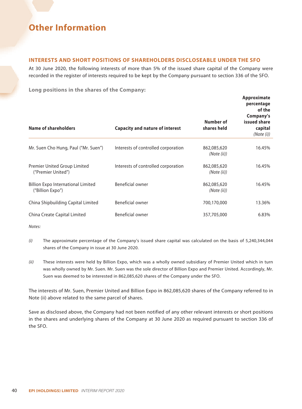#### **INTERESTS AND SHORT POSITIONS OF SHAREHOLDERS DISCLOSEABLE UNDER THE SFO**

At 30 June 2020, the following interests of more than 5% of the issued share capital of the Company were recorded in the register of interests required to be kept by the Company pursuant to section 336 of the SFO.

**Long positions in the shares of the Company:**

| Name of shareholders                                          | <b>Capacity and nature of interest</b> | Number of<br>shares held   | Approximate<br>percentage<br>of the<br>Company's<br>issued share<br>capital<br>(Note (i)) |
|---------------------------------------------------------------|----------------------------------------|----------------------------|-------------------------------------------------------------------------------------------|
| Mr. Suen Cho Hung, Paul ("Mr. Suen")                          | Interests of controlled corporation    | 862,085,620<br>(Note (ii)) | 16.45%                                                                                    |
| Premier United Group Limited<br>("Premier United")            | Interests of controlled corporation    | 862,085,620<br>(Note (ii)) | 16.45%                                                                                    |
| <b>Billion Expo International Limited</b><br>("Billion Expo") | Beneficial owner                       | 862,085,620<br>(Note (ii)) | 16.45%                                                                                    |
| China Shipbuilding Capital Limited                            | Beneficial owner                       | 700,170,000                | 13.36%                                                                                    |
| China Create Capital Limited                                  | Beneficial owner                       | 357,705,000                | 6.83%                                                                                     |

*Notes:*

- *(i)* The approximate percentage of the Company's issued share capital was calculated on the basis of 5,240,344,044 shares of the Company in issue at 30 June 2020.
- *(ii)* These interests were held by Billion Expo, which was a wholly owned subsidiary of Premier United which in turn was wholly owned by Mr. Suen. Mr. Suen was the sole director of Billion Expo and Premier United. Accordingly, Mr. Suen was deemed to be interested in 862,085,620 shares of the Company under the SFO.

The interests of Mr. Suen, Premier United and Billion Expo in 862,085,620 shares of the Company referred to in Note (ii) above related to the same parcel of shares.

Save as disclosed above, the Company had not been notified of any other relevant interests or short positions in the shares and underlying shares of the Company at 30 June 2020 as required pursuant to section 336 of the SFO.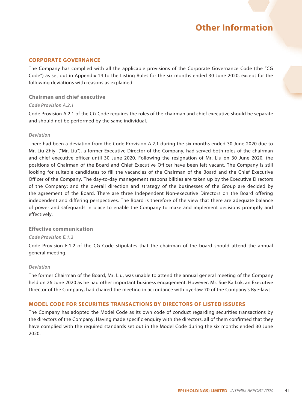#### **CORPORATE GOVERNANCE**

The Company has complied with all the applicable provisions of the Corporate Governance Code (the "CG Code") as set out in Appendix 14 to the Listing Rules for the six months ended 30 June 2020, except for the following deviations with reasons as explained:

#### **Chairman and chief executive**

#### *Code Provision A.2.1*

Code Provision A.2.1 of the CG Code requires the roles of the chairman and chief executive should be separate and should not be performed by the same individual.

#### *Deviation*

There had been a deviation from the Code Provision A.2.1 during the six months ended 30 June 2020 due to Mr. Liu Zhiyi ("Mr. Liu"), a former Executive Director of the Company, had served both roles of the chairman and chief executive officer until 30 June 2020. Following the resignation of Mr. Liu on 30 June 2020, the positions of Chairman of the Board and Chief Executive Officer have been left vacant. The Company is still looking for suitable candidates to fill the vacancies of the Chairman of the Board and the Chief Executive Officer of the Company. The day-to-day management responsibilities are taken up by the Executive Directors of the Company; and the overall direction and strategy of the businesses of the Group are decided by the agreement of the Board. There are three Independent Non-executive Directors on the Board offering independent and differing perspectives. The Board is therefore of the view that there are adequate balance of power and safeguards in place to enable the Company to make and implement decisions promptly and effectively.

#### **Effective communication**

#### *Code Provision E.1.2*

Code Provision E.1.2 of the CG Code stipulates that the chairman of the board should attend the annual general meeting.

#### *Deviation*

The former Chairman of the Board, Mr. Liu, was unable to attend the annual general meeting of the Company held on 26 June 2020 as he had other important business engagement. However, Mr. Sue Ka Lok, an Executive Director of the Company, had chaired the meeting in accordance with bye-law 70 of the Company's Bye-laws.

#### **MODEL CODE FOR SECURITIES TRANSACTIONS BY DIRECTORS OF LISTED ISSUERS**

The Company has adopted the Model Code as its own code of conduct regarding securities transactions by the directors of the Company. Having made specific enquiry with the directors, all of them confirmed that they have complied with the required standards set out in the Model Code during the six months ended 30 June 2020.